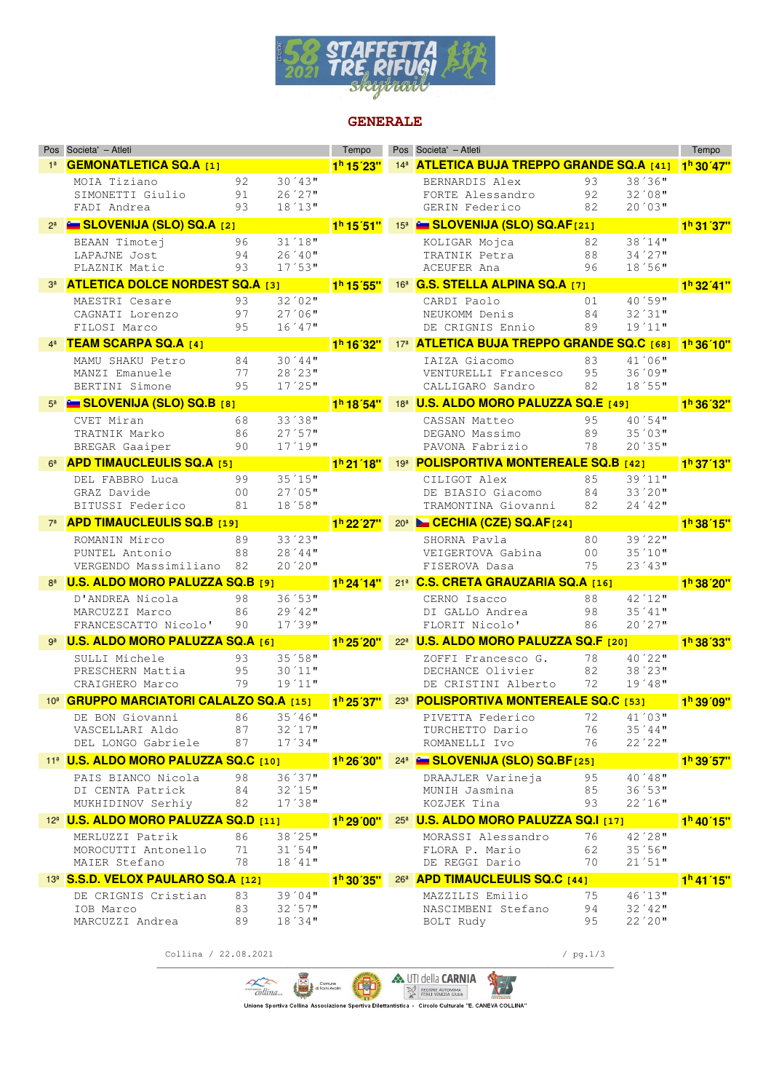

#### **GENERALE**

|                | Pos Societa' - Atleti                                   |                |                     | Tempo                              | Pos Societa' - Atleti                                        |                |                     | Tempo                  |
|----------------|---------------------------------------------------------|----------------|---------------------|------------------------------------|--------------------------------------------------------------|----------------|---------------------|------------------------|
|                | <b>GEMONATLETICA SQ.A [1]</b>                           |                |                     | 1 <sup>h</sup> 15'23"              | 14 <sup>ª</sup> <b>ATLETICA BUJA TREPPO GRANDE SQ.A [41]</b> |                |                     | 1 <sup>h</sup> 30' 47" |
|                | MOIA Tiziano                                            | 92             | $30'43$ "           |                                    | BERNARDIS Alex                                               | 93             | $38'36$ "           |                        |
|                | SIMONETTI Giulio                                        | 91             | 26'27"              |                                    | FORTE Alessandro                                             | 92             | $32'08$ "           |                        |
|                | FADI Andrea                                             | 93             | 18'13''             |                                    | GERIN Federico                                               | 82             | 20'03"              |                        |
|                | 2ª <b>E SLOVENIJA (SLO) SQ.A</b> [2]                    |                |                     | 1 <sup>h</sup> 15'51"              | 15 <sup>8</sup> E SLOVENIJA (SLO) SQ.AF[21]                  |                |                     | 1 <sup>h</sup> 31'37"  |
|                | BEAAN Timotej                                           | 96             | $31'18$ "           |                                    | KOLIGAR Mojca                                                | 82             | 38'14"              |                        |
|                | LAPAJNE Jost                                            | 94             | 26 '40"             |                                    | TRATNIK Petra                                                | 88             | 34'27               |                        |
|                | PLAZNIK Matic                                           | 93             | 17'53''             |                                    | ACEUFER Ana                                                  | 96             | 18'56"              |                        |
|                | <b>ATLETICA DOLCE NORDEST SQ.A [3]</b>                  |                |                     | 1 <sup>h</sup> 15'55"              | 16 <sup>ª</sup> G.S. STELLA ALPINA SQ.A [7]                  |                |                     | 1 <sup>h</sup> 32' 41" |
|                | MAESTRI Cesare                                          | 93             | $32'02$ "           |                                    | CARDI Paolo                                                  | 01             | 40'59"              |                        |
|                | CAGNATI Lorenzo                                         | 97             | 27'06''             |                                    | NEUKOMM Denis                                                | 84             | 32'31"              |                        |
|                | FILOSI Marco                                            | 95             | $16'47$ "           |                                    | DE CRIGNIS Ennio                                             | 89             | $19'11$ "           |                        |
|                | <b>TEAM SCARPA SQ.A [4]</b>                             |                |                     | 1 <sup>h</sup> 16 <sup>'</sup> 32" | 17 <sup>8</sup> ATLETICA BUJA TREPPO GRANDE SQ.C [68]        |                |                     | 1 <sup>h</sup> 36'10"  |
|                | MAMU SHAKU Petro                                        | 84             | 30'44"              |                                    | IAIZA Giacomo                                                | 83             | $41'06$ "           |                        |
|                | MANZI Emanuele                                          | 77             | 28'23"              |                                    | VENTURELLI Francesco                                         | 95             | 36'09"              |                        |
|                | BERTINI Simone                                          | 95             | $17'25$ "           |                                    | CALLIGARO Sandro                                             | 82             | 18'55"              |                        |
|                | <b>Example 3LOVENIJA (SLO) SQ.B</b> [8]                 |                |                     | 1 <sup>h</sup> 18'54"              | 18 <sup>a</sup> <b>U.S. ALDO MORO PALUZZA SQ.E [49]</b>      |                |                     | 1 <sup>h</sup> 36'32"  |
|                | CVET Miran                                              | 68             | 33'38"              |                                    | CASSAN Matteo                                                | 95             | 40'54"              |                        |
|                | TRATNIK Marko                                           | 86             | 27'57"              |                                    | DEGANO Massimo                                               | 89             | $35'03$ "           |                        |
|                | BREGAR Gaaiper                                          | 90             | 17'19''             |                                    | PAVONA Fabrizio                                              | 78             | 20'35"              |                        |
| 6 <sup>a</sup> | <b>APD TIMAUCLEULIS SQ.A [5]</b>                        |                |                     | 1 <sup>h</sup> 21'18"              | 198 <b>POLISPORTIVA MONTEREALE SQ.B</b> [42]                 |                |                     | 1 <sup>h</sup> 37'13"  |
|                | DEL FABBRO Luca                                         | 99             | 35'15"              |                                    | CILIGOT Alex                                                 | 85             | 39'11"              |                        |
|                | GRAZ Davide                                             | 0 <sub>0</sub> | 27'05''             |                                    | DE BIASIO Giacomo                                            | 84             | $33'20$ "           |                        |
|                | BITUSSI Federico                                        | 81             | 18'58"              |                                    | TRAMONTINA Giovanni                                          | 82             | 24'42"              |                        |
|                | <b>APD TIMAUCLEULIS SQ.B [19]</b>                       |                |                     | 1 <sup>h</sup> 22 <sup>'27"</sup>  | 20 <sup>a</sup> <b>Le CECHIA (CZE) SQ.AF</b> [24]            |                |                     | 1 <sup>h</sup> 38'15"  |
|                | ROMANIN Mirco                                           | 89             | 33'23"              |                                    | SHORNA Pavla                                                 | 80             | $39'22$ "           |                        |
|                | PUNTEL Antonio                                          | 88             | 28'44"              |                                    | VEIGERTOVA Gabina                                            | 0 <sub>0</sub> | 35'10"              |                        |
|                | VERGENDO Massimiliano                                   | 82             | 20'20"              |                                    | FISEROVA Dasa                                                | 75             | 23'43''             |                        |
|                | <b>U.S. ALDO MORO PALUZZA SQ.B [9]</b>                  |                |                     | 1 <sup>h</sup> 24'14"              | 21 <sup>8</sup> C.S. CRETA GRAUZARIA SQ.A [16]               |                |                     | 1 <sup>h</sup> 38'20"  |
|                | D'ANDREA Nicola                                         | 98             | 36'53''             |                                    | CERNO Isacco                                                 | 88             | 42'12"              |                        |
|                | MARCUZZI Marco                                          | 86             | $29'42$ "           |                                    | DI GALLO Andrea                                              | 98             | $35'41$ "           |                        |
|                | FRANCESCATTO Nicolo'                                    | 90             | 17'39''             |                                    | FLORIT Nicolo'                                               | 86             | 20'27"              |                        |
|                | <b>U.S. ALDO MORO PALUZZA SQ.A [6]</b>                  |                |                     | 1 <sup>h</sup> 25'20"              | 22 <sup>a</sup> <b>U.S. ALDO MORO PALUZZA SQ.F</b> [20]      |                |                     | 1 <sup>h</sup> 38'33"  |
|                | SULLI Michele                                           | 93             | 35'58"              |                                    | ZOFFI Francesco G.                                           | 78             | 40'22"              |                        |
|                | PRESCHERN Mattia                                        | 95             | $30'11$ "           |                                    | DECHANCE Olivier<br>DE CRISTINI Alberto                      | 82             | 38'23''             |                        |
|                | CRAIGHERO Marco                                         | 79             | $19'11$ "           |                                    |                                                              | 72             | 19'48"              |                        |
|                | 10 <sup>8</sup> GRUPPO MARCIATORI CALALZO SQ.A [15]     |                |                     | 1 <sup>h</sup> 25'37"              | 238 POLISPORTIVA MONTEREALE SQ.C [53]                        |                |                     | 1 <sup>h</sup> 39'09"  |
|                | DE BON Giovanni                                         | 86             | $35'46$ "           |                                    | PIVETTA Federico                                             | 72             | 41'03"              |                        |
|                | VASCELLARI Aldo<br>DEL LONGO Gabriele                   | 87<br>87       | 32'17"<br>17'34"    |                                    | TURCHETTO Dario<br>ROMANELLI Ivo                             | 76<br>76       | $35'44$ "<br>22'22" |                        |
|                |                                                         |                |                     |                                    |                                                              |                |                     |                        |
|                | 11 <sup>ª</sup> <b>U.S. ALDO MORO PALUZZA SQ.C</b> [10] |                |                     | 1 <sup>h</sup> 26'30"              | 24 <sup>a</sup> E SLOVENIJA (SLO) SQ.BF <sub>[25]</sub>      |                |                     | 1 <sup>h</sup> 39'57"  |
|                | PAIS BIANCO Nicola                                      | 98             | 36'37"              |                                    | DRAAJLER Varineja                                            | 95             | $40'48$ "           |                        |
|                | DI CENTA Patrick                                        | 84             | 32'15"              |                                    | MUNIH Jasmina                                                | 85             | 36'53"              |                        |
|                | MUKHIDINOV Serhiy                                       | 82             | 17'38''             |                                    | KOZJEK Tina                                                  | 93             | 22'16"              |                        |
|                | 12 <sup>a</sup> <b>U.S. ALDO MORO PALUZZA SQ.D [11]</b> |                |                     | 1 <sup>h</sup> 29'00"              | 25 <sup>8</sup> U.S. ALDO MORO PALUZZA SQ.I [17]             |                |                     | $1h$ 40'15"            |
|                | MERLUZZI Patrik                                         | 86             | 38'25"              |                                    | MORASSI Alessandro                                           | 76             | 42'28"              |                        |
|                | MOROCUTTI Antonello<br>MAIER Stefano                    | 71<br>78       | 31'54"<br>$18'41$ " |                                    | FLORA P. Mario<br>DE REGGI Dario                             | 62<br>70       | 35'56"<br>21'51"    |                        |
|                |                                                         |                |                     |                                    |                                                              |                |                     |                        |
|                | 13ª S.S.D. VELOX PAULARO SQ.A [12]                      |                |                     | 1 <sup>h</sup> 30'35"              | 26ª APD TIMAUCLEULIS SQ.C [44]                               |                |                     | 1 <sup>h</sup> 41'15"  |
|                | DE CRIGNIS Cristian                                     | 83<br>83       | $39'04$ "<br>32'57" |                                    | MAZZILIS Emilio<br>NASCIMBENI Stefano                        | 75<br>94       | 46'13"<br>32'42"    |                        |
|                | IOB Marco<br>MARCUZZI Andrea                            | 89             | 18'34"              |                                    | BOLT Rudy                                                    | 95             | 22'20"              |                        |
|                |                                                         |                |                     |                                    |                                                              |                |                     |                        |

Collina / 22.08.2021 / pg.1/3

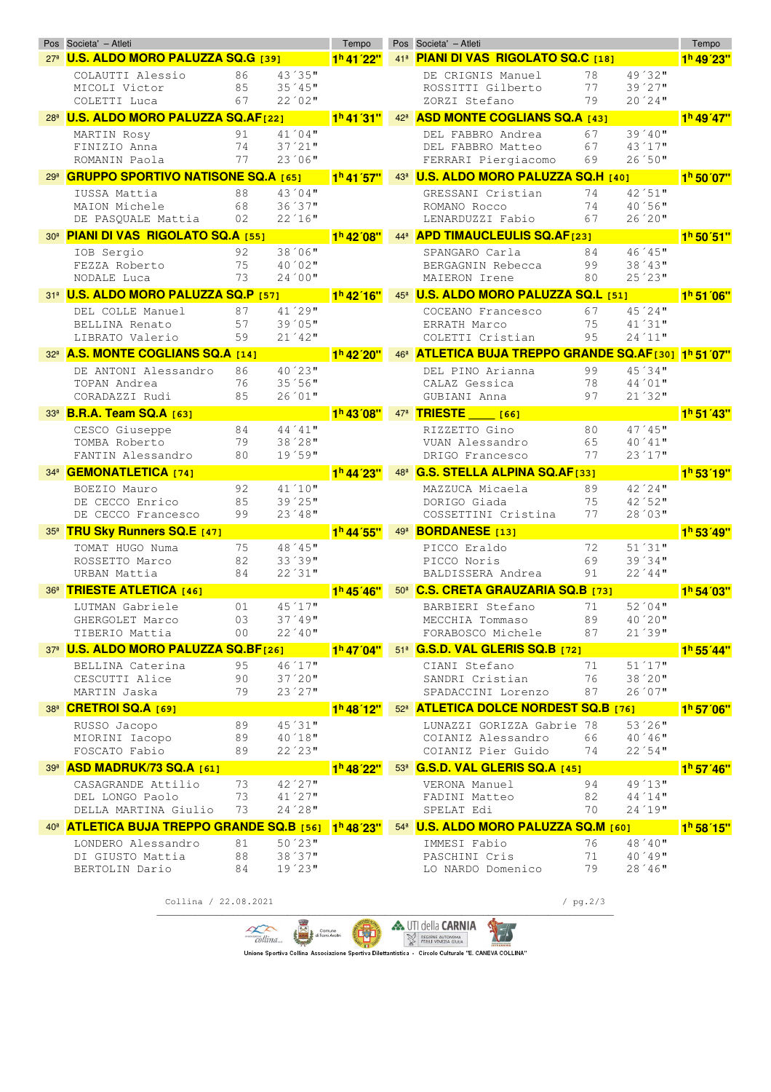|                 | Pos Societa' - Atleti                                 |          |           | Tempo                              |                 | Pos Societa' - Atleti                                                                                 |            |           | Tempo                  |
|-----------------|-------------------------------------------------------|----------|-----------|------------------------------------|-----------------|-------------------------------------------------------------------------------------------------------|------------|-----------|------------------------|
|                 | 27ª U.S. ALDO MORO PALUZZA SQ.G [39]                  |          |           | 1 <sup>h</sup> 41'22"              | 41 <sup>8</sup> | PIANI DI VAS RIGOLATO SQ.C [18]                                                                       |            |           | 1 <sup>h</sup> 49'23"  |
|                 | COLAUTTI Alessio                                      | 86       | 43'35"    |                                    |                 | DE CRIGNIS Manuel                                                                                     | 78         | 49'32"    |                        |
|                 | MICOLI Victor                                         | 85       | 35'45"    |                                    |                 | ROSSITTI Gilberto                                                                                     | 77         | 39'27"    |                        |
|                 | COLETTI Luca                                          | 67       | 22'02"    |                                    |                 | ZORZI Stefano                                                                                         | 79         | 20'24"    |                        |
| 28 <sup>a</sup> | <b>U.S. ALDO MORO PALUZZA SQ.AF[22]</b>               |          |           | 1 <sup>h</sup> 41'31"              | 42 <sup>a</sup> | <b>ASD MONTE COGLIANS SQ.A [43]</b>                                                                   |            |           | 1 <sup>h</sup> 49'47"  |
|                 | MARTIN Rosy                                           | 91       | 41'04"    |                                    |                 | DEL FABBRO Andrea                                                                                     | 67         | $39'40$ " |                        |
|                 | FINIZIO Anna                                          | 74       | $37'21$ " |                                    |                 | DEL FABBRO Matteo                                                                                     | 67         | 43'17"    |                        |
|                 | ROMANIN Paola                                         | 77       | 23'06''   |                                    |                 | FERRARI Piergiacomo                                                                                   | 69         | 26'50"    |                        |
| 29 <sup>a</sup> | <b>GRUPPO SPORTIVO NATISONE SQ.A [65]</b>             |          |           | 1 <sup>h</sup> 41 57"              |                 | 43ª U.S. ALDO MORO PALUZZA SQ.H [40]                                                                  |            |           | 1 <sup>h</sup> 50'07"  |
|                 | IUSSA Mattia                                          | 88       | $43'04$ " |                                    |                 | GRESSANI Cristian                                                                                     | 74         | 42'51"    |                        |
|                 | MAION Michele                                         | 68       | 36'37"    |                                    |                 | ROMANO Rocco                                                                                          | 74         | 40'56"    |                        |
|                 | DE PASQUALE Mattia                                    | 02       | 22'16"    |                                    |                 | LENARDUZZI Fabio                                                                                      | 67         | 26'20"    |                        |
| 30 <sup>a</sup> | <b>PIANI DI VAS RIGOLATO SQ.A [55]</b>                |          |           | 1 <sup>h</sup> 42 <sup>'</sup> 08" | 44 <sup>3</sup> | <b>APD TIMAUCLEULIS SQ.AF[23]</b>                                                                     |            |           | 1 <sup>h</sup> 50' 51" |
|                 | IOB Sergio                                            | 92       | 38'06"    |                                    |                 | SPANGARO Carla                                                                                        | 84         | 46'45"    |                        |
|                 | FEZZA Roberto                                         | 75       | 40'02"    |                                    |                 | BERGAGNIN Rebecca                                                                                     | 99         | 38'43''   |                        |
|                 | NODALE Luca                                           | 73       | 24'00''   |                                    |                 | MAIERON Irene                                                                                         | 80         | 25'23"    |                        |
|                 | 31ª U.S. ALDO MORO PALUZZA SQ.P [57]                  |          |           | 1 <sup>h</sup> 42'16"              |                 | 45ª U.S. ALDO MORO PALUZZA SQ.L [51]                                                                  |            |           | 1 <sup>h</sup> 51'06"  |
|                 | DEL COLLE Manuel                                      | 87       | 41'29"    |                                    |                 | COCEANO Francesco                                                                                     | 67         | 45'24"    |                        |
|                 | BELLINA Renato                                        | 57       | 39'05"    |                                    |                 | ERRATH Marco                                                                                          | 75         | 41'31"    |                        |
|                 | LIBRATO Valerio                                       | 59       | 21'42"    |                                    |                 | COLETTI Cristian                                                                                      | 95         | 24'11"    |                        |
| 32 <sup>a</sup> | <b>A.S. MONTE COGLIANS SQ.A [14]</b>                  |          |           | 1 <sup>h</sup> 42'20"              | 46 <sup>3</sup> | ATLETICA BUJA TREPPO GRANDE SQ.AF[30] 1h 51 07"                                                       |            |           |                        |
|                 | DE ANTONI Alessandro                                  | 86       | 40'23"    |                                    |                 | DEL PINO Arianna                                                                                      | 99         | 45'34"    |                        |
|                 | TOPAN Andrea                                          | 76       | 35'56''   |                                    |                 | CALAZ Gessica                                                                                         | 78         | $44'01$ " |                        |
|                 | CORADAZZI Rudi                                        | 85       | 26'01"    |                                    |                 | GUBIANI Anna                                                                                          | 97         | 21'32"    |                        |
| 33 <sup>a</sup> | <b>B.R.A. Team SQ.A [63]</b>                          |          |           | 1 <sup>h</sup> 43'08"              | 47 <sup>3</sup> | <b>TRIESTE</b><br>[66]                                                                                |            |           | 1 <sup>h</sup> 51'43"  |
|                 | CESCO Giuseppe                                        | 84       | $44'41$ " |                                    |                 | RIZZETTO Gino                                                                                         | 80         | $47'45$ " |                        |
|                 | TOMBA Roberto                                         | 79       | 38'28''   |                                    |                 | VUAN Alessandro                                                                                       | 65         | 40'41"    |                        |
|                 | FANTIN Alessandro                                     | 80       | 19'59"    |                                    |                 | DRIGO Francesco                                                                                       | 77         | 23'17"    |                        |
|                 | 34ª <b>GEMONATLETICA</b> [74]                         |          |           | 1 <sup>h</sup> 44'23"              | 48 <sup>a</sup> | <b>G.S. STELLA ALPINA SQ.AF[33]</b>                                                                   |            |           | 1 <sup>h</sup> 53'19"  |
|                 | BOEZIO Mauro                                          | 92       | 41'10''   |                                    |                 | MAZZUCA Micaela                                                                                       | 89         | $42'24$ " |                        |
|                 | DE CECCO Enrico                                       | 85       | 39'25"    |                                    |                 | DORIGO Giada                                                                                          | 75         | 42'52"    |                        |
|                 | DE CECCO Francesco                                    | 99       | $23'48$ " |                                    |                 | COSSETTINI Cristina                                                                                   | 77         | 28'03"    |                        |
| 35 <sup>3</sup> | <b>TRU Sky Runners SQ.E [47]</b>                      |          |           | $1h$ 44'55"                        | 49 <sup>a</sup> | <b>BORDANESE</b> [13]                                                                                 |            |           | 1 <sup>h</sup> 53'49"  |
|                 | TOMAT HUGO Numa                                       | 75       | 48 ' 45"  |                                    |                 | PICCO Eraldo                                                                                          | 72         | 51'31"    |                        |
|                 | ROSSETTO Marco                                        | 82       | 33'39"    |                                    |                 | PICCO Noris                                                                                           | 69         | 39'34"    |                        |
|                 | URBAN Mattia                                          | 84       | 22'31"    |                                    |                 | BALDISSERA Andrea                                                                                     | 91         | 22'44"    |                        |
| 36 <sup>3</sup> | <b>TRIESTE ATLETICA [46]</b>                          |          |           | 1 <sup>h</sup> 45'46"              |                 | 50 <sup>a</sup> C.S. CRETA GRAUZARIA SQ.B [73]                                                        |            |           | 1 <sup>h</sup> 54'03"  |
|                 | LUTMAN Gabriele                                       | 01       | 45'17"    |                                    |                 | BARBIERI Stefano                                                                                      | 71         | 52'04"    |                        |
|                 | GHERGOLET Marco                                       | 03       | $37'49$ " |                                    |                 | MECCHIA Tommaso                                                                                       | 89         | 40'20"    |                        |
|                 | TIBERIO Mattia                                        | 00       | $22'40$ " |                                    |                 | FORABOSCO Michele                                                                                     | 87         | 21'39"    |                        |
|                 | 37ª U.S. ALDO MORO PALUZZA SQ.BF[26]                  |          |           | 1 <sup>h</sup> 47 <sup>'04"</sup>  |                 | 51 <sup>a</sup> G.S.D. VAL GLERIS SQ.B [72]                                                           |            |           | 1 <sup>h</sup> 55' 44" |
|                 |                                                       | 95       | 46'17"    |                                    |                 | CIANI Stefano                                                                                         | 71         | 51'17"    |                        |
|                 | BELLINA Caterina<br>CESCUTTI Alice                    | 90       | $37'20$ " |                                    |                 | SANDRI Cristian                                                                                       | 76         | $38'20$ " |                        |
|                 | MARTIN Jaska                                          | 79       | 23'27"    |                                    |                 | SPADACCINI Lorenzo                                                                                    | 87         | 26'07"    |                        |
|                 | 38ª CRETROI SQ.A [69]                                 |          |           | $1h$ 48 $12"$                      |                 | 52 <sup>8</sup> ATLETICA DOLCE NORDEST SQ.B [76]                                                      |            |           | 1 <sup>h</sup> 57'06"  |
|                 | RUSSO Jacopo                                          | 89       | 45'31"    |                                    |                 | LUNAZZI GORIZZA Gabrie 78                                                                             |            | $53'26$ " |                        |
|                 | MIORINI Iacopo                                        | 89       | $40'18$ " |                                    |                 | COIANIZ Alessandro                                                                                    | 66         | $40'46$ " |                        |
|                 | FOSCATO Fabio                                         | 89       | 22'23''   |                                    |                 | COIANIZ Pier Guido                                                                                    | 74         | 22'54"    |                        |
|                 | 39ª ASD MADRUK/73 SQ.A [61]                           |          |           | 1 <sup>h</sup> 48 <sup>'</sup> 22" |                 | 53 <sup>ª</sup> G.S.D. VAL GLERIS SQ.A [45]                                                           |            |           | 1 <sup>h</sup> 57' 46" |
|                 |                                                       |          | $42'27$ " |                                    |                 |                                                                                                       |            | 49'13"    |                        |
|                 | CASAGRANDE Attilio<br>DEL LONGO Paolo                 | 73<br>73 | 41'27"    |                                    |                 | VERONA Manuel<br>FADINI Matteo                                                                        | 94<br>82   | 44'14"    |                        |
|                 | DELLA MARTINA Giulio                                  | 73       | $24'28$ " |                                    |                 | SPELAT Edi                                                                                            | 70         | 24'19"    |                        |
|                 | 40 <sup>8</sup> ATLETICA BUJA TREPPO GRANDE SQ.B [56] |          |           | 1 <sup>h</sup> 48 <sup>'23"</sup>  | 54 <sup>9</sup> | <b>U.S. ALDO MORO PALUZZA SQ.M [60]</b>                                                               |            |           | 1 <sup>h</sup> 58' 15" |
|                 |                                                       |          | $50'23$ " |                                    |                 | IMMESI Fabio                                                                                          | 76         | 48'40"    |                        |
|                 | LONDERO Alessandro<br>DI GIUSTO Mattia                | 81<br>88 | 38'37"    |                                    |                 | PASCHINI Cris                                                                                         | 71         | $40'49$ " |                        |
|                 | BERTOLIN Dario                                        | 84       | $19'23$ " |                                    |                 | LO NARDO Domenico                                                                                     | 79         | 28'46''   |                        |
|                 |                                                       |          |           |                                    |                 |                                                                                                       |            |           |                        |
|                 | Collina / 22.08.2021                                  |          |           |                                    |                 |                                                                                                       | / $pg.2/3$ |           |                        |
|                 |                                                       |          |           |                                    |                 |                                                                                                       |            |           |                        |
|                 |                                                       |          |           | Comune                             |                 | <b>A. UTI della CARNIA</b>                                                                            |            |           |                        |
|                 |                                                       |          | collina.  |                                    |                 | REGIONE AUTONOMA<br>FRIULI VENEZIA GIULIA                                                             |            |           |                        |
|                 |                                                       |          |           |                                    |                 | "Unione Sportiva Collina Associazione Sportiva Dilettantistica - Circolo Culturale "E. CANEVA COLLINA |            |           |                        |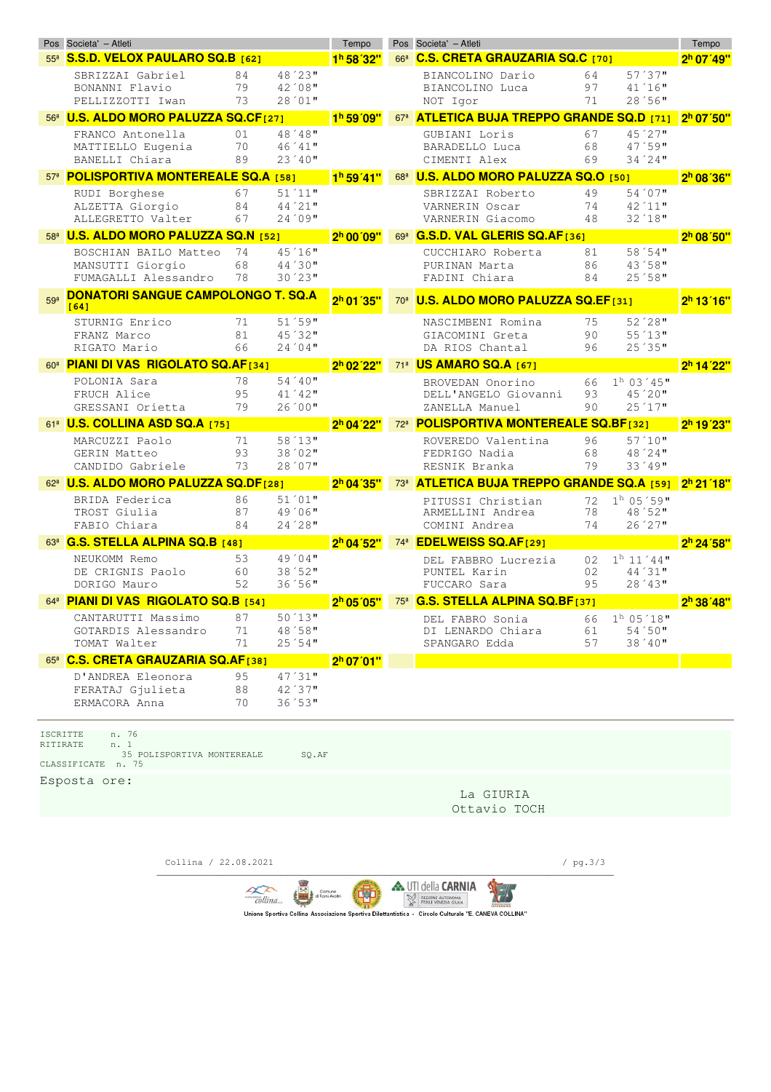|                             | Pos Societa' - Atleti                                             |          |                     | Tempo                   |                 | Pos Societa' - Atleti                        |          |                          |                                   |
|-----------------------------|-------------------------------------------------------------------|----------|---------------------|-------------------------|-----------------|----------------------------------------------|----------|--------------------------|-----------------------------------|
| 55 <sup>8</sup>             | S.S.D. VELOX PAULARO SQ.B [62]                                    |          |                     | 1 <sup>h</sup> 58'32"   | 66 <sup>3</sup> | <b>C.S. CRETA GRAUZARIA SQ.C</b> [70]        |          |                          | 2 <sup>h</sup> 07' 49"            |
|                             | SBRIZZAI Gabriel                                                  | 84       | 48'23"              |                         |                 | BIANCOLINO Dario                             | 64       | 57'37"                   |                                   |
|                             | BONANNI Flavio                                                    | 79       | 42'08"              |                         |                 | BIANCOLINO Luca                              | 97       | $41'16$ "                |                                   |
|                             | PELLIZZOTTI Iwan                                                  | 73       | 28'01"              |                         |                 | NOT Igor                                     | 71       | 28'56"                   |                                   |
|                             | 56 <sup>8</sup> U.S. ALDO MORO PALUZZA SQ.CF[27]                  |          |                     | 1 <sup>h</sup> 59'09"   | 67 <sup>8</sup> | <b>ATLETICA BUJA TREPPO GRANDE SQ.D [71]</b> |          |                          | 2 <sup>h</sup> 07'50"             |
|                             | FRANCO Antonella                                                  | 01<br>70 | 48'48"<br>$46'41$ " |                         |                 | GUBIANI Loris<br>BARADELLO Luca              | 67<br>68 | $45'27$ "<br>47'59"      |                                   |
|                             | MATTIELLO Eugenia<br>BANELLI Chiara                               | 89       | $23'40$ "           |                         |                 | CIMENTI Alex                                 | 69       | $34'24$ "                |                                   |
|                             | 57 <sup>8</sup> POLISPORTIVA MONTEREALE SQ.A [58]                 |          |                     | 1 <sup>h</sup> 59' 41'' | 68 <sup>3</sup> | U.S. ALDO MORO PALUZZA SQ.O [50]             |          |                          | 2 <sup>h</sup> 08'36"             |
|                             | RUDI Borghese                                                     | 67       | 51'11"              |                         |                 | SBRIZZAI Roberto                             | 49       | 54'07                    |                                   |
|                             | ALZETTA Giorgio                                                   | 84       | 44'21"              |                         |                 | VARNERIN Oscar                               | 74       | $42'11$ "                |                                   |
|                             | ALLEGRETTO Valter                                                 | 67       | 24'09"              |                         |                 | VARNERIN Giacomo                             | 48       | $32'18$ "                |                                   |
|                             | 58 <sup>8</sup> U.S. ALDO MORO PALUZZA SQ.N [52]                  |          |                     | 2 <sup>h</sup> 00'09"   | 69 <sup>a</sup> | G.S.D. VAL GLERIS SQ.AF[36]                  |          |                          | 2 <sup>h</sup> 08'50"             |
|                             | BOSCHIAN BAILO Matteo                                             | 74       | 45'16"              |                         |                 | CUCCHIARO Roberta                            | 81       | 58'54"                   |                                   |
|                             | MANSUTTI Giorgio                                                  | 68       | 44'30"              |                         |                 | PURINAN Marta                                | 86       | 43'58"                   |                                   |
|                             | FUMAGALLI Alessandro                                              | 78       | $30'23$ "           |                         |                 | FADINI Chiara                                | 84       | 25'58"                   |                                   |
| 59 <sup>8</sup>             | <b>DONATORI SANGUE CAMPOLONGO T. SQ.A</b><br>[64]                 |          |                     | $2h$ 01 $35"$           | 70 <sup>3</sup> | <b>U.S. ALDO MORO PALUZZA SQ.EF[31]</b>      |          |                          | 2 <sup>h</sup> 13'16"             |
|                             | STURNIG Enrico                                                    | 71       | 51'59"              |                         |                 | NASCIMBENI Romina                            | 75       | $52'28$ "                |                                   |
|                             | FRANZ Marco                                                       | 81       | 45'32"              |                         |                 | GIACOMINI Greta                              | 90       | 55'13"                   |                                   |
|                             | RIGATO Mario                                                      | 66       | 24'04"              |                         |                 | DA RIOS Chantal                              | 96       | 25'35"                   |                                   |
| 60 <sup>a</sup>             | <b>PIANI DI VAS RIGOLATO SQ.AF[34]</b>                            |          |                     | 2 <sup>h</sup> 02'22"   |                 | 71ª US AMARO SQ.A [67]                       |          |                          | 2 <sup>h</sup> 14'22"             |
|                             | POLONIA Sara                                                      | 78       | $54'40$ "           |                         |                 | BROVEDAN Onorino                             | 66       | $1h$ 03 $'45$ "          |                                   |
|                             | FRUCH Alice<br>GRESSANI Orietta                                   | 95<br>79 | $41'42$ "<br>26'00" |                         |                 | DELL'ANGELO Giovanni<br>ZANELLA Manuel       | 93<br>90 | $45'20$ "<br>25'17"      |                                   |
|                             | 61ª <b>U.S. COLLINA ASD SQ.A</b> [75]                             |          |                     | 2 <sup>h</sup> 04'22"   | 72 <sup>a</sup> | <b>POLISPORTIVA MONTEREALE SQ.BF[32]</b>     |          |                          |                                   |
|                             |                                                                   |          | 58'13''             |                         |                 |                                              |          |                          | 2 <sup>h</sup> 19'23"             |
|                             | MARCUZZI Paolo<br>GERIN Matteo                                    | 71<br>93 | 38'02"              |                         |                 | ROVEREDO Valentina<br>FEDRIGO Nadia          | 96<br>68 | $57'10$ "<br>48'24"      |                                   |
|                             | CANDIDO Gabriele                                                  | 73       | 28'07"              |                         |                 | RESNIK Branka                                | 79       | 33'49"                   |                                   |
|                             | 62ª U.S. ALDO MORO PALUZZA SQ.DF[28]                              |          |                     | 2h 04'35"               | 73 <sup>8</sup> | <b>ATLETICA BUJA TREPPO GRANDE SQ.A [59]</b> |          |                          | 2 <sup>h</sup> 21 <sup>'18"</sup> |
|                             | BRIDA Federica                                                    | 86       | 51'01"              |                         |                 | PITUSSI Christian                            | 72       | $1h$ 05 '59"             |                                   |
|                             | TROST Giulia                                                      | 87       | $49'06$ "           |                         |                 | ARMELLINI Andrea                             | 78       | 48'52"                   |                                   |
|                             | FABIO Chiara                                                      | 84       | 24'28''             |                         |                 | COMINI Andrea                                | 74       | 26'27"                   |                                   |
|                             | 63ª G.S. STELLA ALPINA SQ.B [48]                                  |          |                     | 2 <sup>h</sup> 04'52"   | 74 <sup>3</sup> | <b>EDELWEISS SQ.AF[29]</b>                   |          |                          | 2 <sup>h</sup> 24'58"             |
|                             | NEUKOMM Remo                                                      | 53       | 49'04"              |                         |                 | DEL FABBRO Lucrezia                          | 02       | $1h$ 11'44"              |                                   |
|                             | DE CRIGNIS Paolo<br>DORIGO Mauro                                  | 60<br>52 | 38'52"<br>36'56"    |                         |                 | PUNTEL Karin<br>FUCCARO Sara                 | 02<br>95 | 44'31"<br>28'43''        |                                   |
|                             | 64 <sup>8</sup> PIANI DI VAS RIGOLATO SQ.B [54]                   |          |                     | 2 <sup>h</sup> 05' 05"  | 75 <sup>3</sup> | <b>G.S. STELLA ALPINA SQ.BF[37]</b>          |          |                          | 2 <sup>h</sup> 38'48"             |
|                             | CANTARUTTI Massimo                                                | 87       | 50'13"              |                         |                 |                                              |          | 66 1 <sup>h</sup> 05'18" |                                   |
|                             | GOTARDIS Alessandro                                               | 71       | 48'58''             |                         |                 | DEL FABRO Sonia<br>DI LENARDO Chiara         | 61       | 54'50"                   |                                   |
|                             | TOMAT Walter                                                      | 71       | 25'54"              |                         |                 | SPANGARO Edda                                | 57       | 38'40"                   |                                   |
|                             | 65ª C.S. CRETA GRAUZARIA SQ.AF[38]                                |          |                     | 2 <sup>h</sup> 07'01"   |                 |                                              |          |                          |                                   |
|                             | D'ANDREA Eleonora                                                 | 95       | 47'31''             |                         |                 |                                              |          |                          |                                   |
|                             | FERATAJ Gjulieta                                                  | 88       | 42'37"              |                         |                 |                                              |          |                          |                                   |
|                             | ERMACORA Anna                                                     | 70       | 36'53"              |                         |                 |                                              |          |                          |                                   |
| <b>ISCRITTE</b><br>RITIRATE | n. 76<br>n. 1<br>35 POLISPORTIVA MONTEREALE<br>CLASSIFICATE n. 75 |          | SQ.AF               |                         |                 |                                              |          |                          |                                   |
|                             | Esposta ore:                                                      |          |                     |                         |                 |                                              |          |                          |                                   |
|                             |                                                                   |          |                     |                         |                 | La GIURIA                                    |          |                          |                                   |
|                             |                                                                   |          |                     |                         |                 | Ottavio TOCH                                 |          |                          |                                   |

Collina / 22.08.2021 / pg.3/3 \_\_\_\_\_\_\_\_\_\_\_\_\_\_\_\_\_\_\_\_\_\_\_\_\_\_\_\_\_\_\_\_\_\_\_\_\_\_\_\_\_\_\_\_\_\_\_\_\_\_\_\_\_\_\_\_\_\_\_\_\_\_\_\_\_\_\_\_\_\_\_\_\_\_\_\_\_\_\_\_\_\_\_\_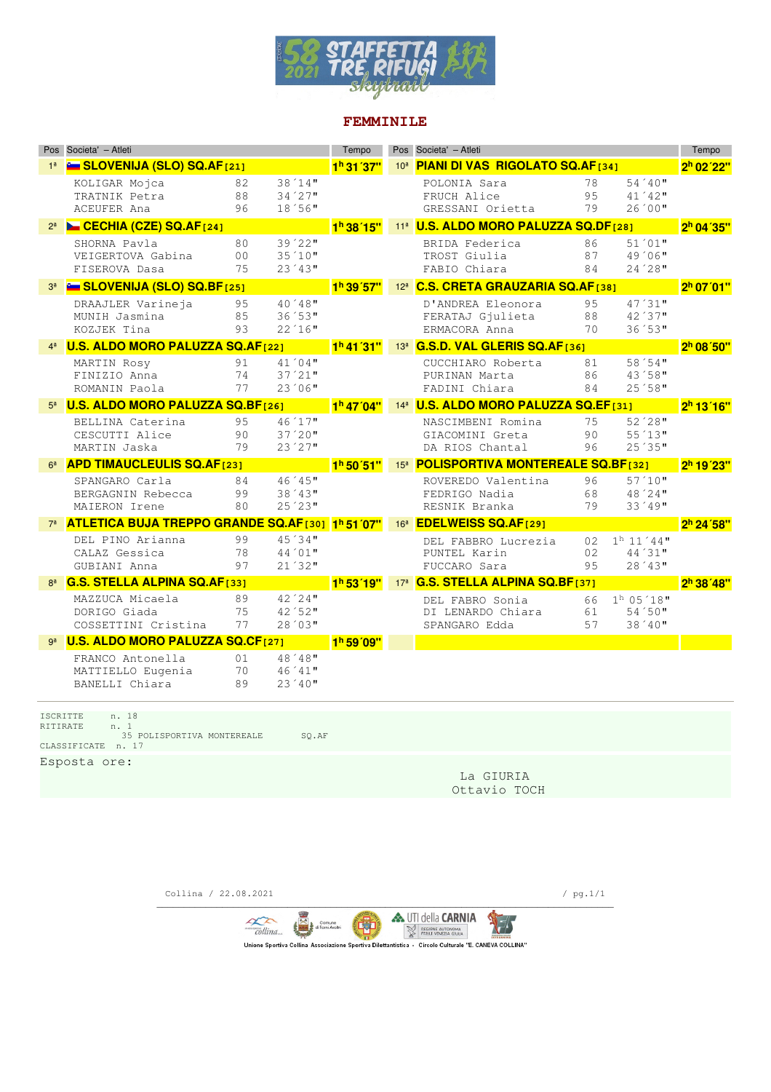

#### **FEMMINILE**

|                | Pos Societa' - Atleti                                                                                            |                            |                                     | Tempo                             |                 | Pos Societa' - Atleti                                   |                 |                                        | Tempo                  |
|----------------|------------------------------------------------------------------------------------------------------------------|----------------------------|-------------------------------------|-----------------------------------|-----------------|---------------------------------------------------------|-----------------|----------------------------------------|------------------------|
|                | <b>Example 12 SLOVENIJA (SLO) SQ.AF</b> [21]                                                                     |                            |                                     | 1 <sup>h</sup> 31 37'             |                 | 10ª PIANI DI VAS RIGOLATO SQ.AF1341                     |                 |                                        | 2 <sup>h</sup> 02'22"  |
|                | KOLIGAR Mojca<br>TRATNIK Petra<br><b>ACEUFER Ana</b>                                                             | 82<br>88<br>96             | $38'14$ "<br>$34'27$ "<br>18'56"    |                                   |                 | POLONIA Sara<br>FRUCH Alice<br>GRESSANI Orietta         | 78<br>95<br>79  | $54'40$ "<br>$41'42$ "<br>26'00"       |                        |
|                | CECHIA (CZE) SQ.AF[24]                                                                                           |                            |                                     | 1 <sup>h</sup> 38 15"             |                 | 11 <sup>8</sup> U.S. ALDO MORO PALUZZA SQ.DF[28]        |                 |                                        | 2 <sup>h</sup> 04'35"  |
|                | SHORNA Pavla<br>VEIGERTOVA Gabina<br>FISEROVA Dasa                                                               | 80<br>0 <sub>0</sub><br>75 | $39'22$ "<br>$35'10$ "<br>$23'43$ " |                                   |                 | BRIDA Federica<br>TROST Giulia<br>FABIO Chiara          | 86<br>87<br>84  | $51'01$ "<br>49 '06"<br>$24'28$ "      |                        |
|                | <b>Example 12 SLOVENIJA (SLO) SQ.BF</b> [25]                                                                     |                            |                                     | 1 <sup>h</sup> 39'57"             | 12 <sup>a</sup> | <b>C.S. CRETA GRAUZARIA SQ.AF[38]</b>                   |                 |                                        | 2 <sup>h</sup> 07' 01" |
|                | DRAAJLER Varineja<br>MUNIH Jasmina<br>KOZJEK Tina                                                                | 95<br>85<br>93             | $40'48$ "<br>36'53''<br>22'16"      |                                   |                 | D'ANDREA Eleonora<br>FERATAJ Gjulieta<br>ERMACORA Anna  | 95<br>88<br>70  | $47'31$ "<br>42'37"<br>36'53"          |                        |
|                | <b>U.S. ALDO MORO PALUZZA SQ.AF[22]</b>                                                                          |                            |                                     | 1 <sup>h</sup> 41 <sup>'31"</sup> |                 | 13 <sup>ª</sup> G.S.D. VAL GLERIS SQ.AF[36]             |                 |                                        | 2 <sup>h</sup> 08'50"  |
|                | MARTIN Rosy<br>FINIZIO Anna<br>ROMANIN Paola                                                                     | 91<br>74<br>77             | $41'04$ "<br>$37'21$ "<br>$23'06$ " |                                   |                 | CUCCHIARO Roberta<br>PURINAN Marta<br>FADINI Chiara     | 81<br>86<br>84  | 58'54"<br>43'58"<br>25′58″             |                        |
|                | U.S. ALDO MORO PALUZZA SQ.BF[26]                                                                                 |                            |                                     | 1 <sup>h</sup> 47'04"             |                 | 14 <sup>ª</sup> U.S. ALDO MORO PALUZZA SQ.EF[31]        |                 |                                        | 2 <sup>h</sup> 13'16"  |
|                | BELLINA Caterina<br>CESCUTTI Alice<br>MARTIN Jaska                                                               | 95<br>90<br>79             | 46'17"<br>$37'20$ "<br>23'27"       |                                   |                 | NASCIMBENI Romina<br>GTACOMINI Greta<br>DA RIOS Chantal | 75<br>90<br>96  | $52'28$ "<br>55'13''<br>25'35"         |                        |
| 6 <sup>a</sup> | <b>APD TIMAUCLEULIS SQ.AF[23]</b>                                                                                |                            |                                     | 1 <sup>h</sup> 50'51"             |                 | 15 <sup>8</sup> POLISPORTIVA MONTEREALE SQ.BF[32]       |                 |                                        | $2h$ 19'23"            |
|                | SPANGARO Carla<br>BERGAGNIN Rebecca<br>MAIERON Irene                                                             | 84<br>99<br>80             | $46'45$ "<br>$38'43$ "<br>25'23''   |                                   |                 | ROVEREDO Valentina<br>FEDRIGO Nadia<br>RESNIK Branka    | 96<br>68<br>79  | $57'10$ "<br>48'24"<br>33'49"          |                        |
|                | ATLETICA BUJA TREPPO GRANDE SQ.AF[30] 1h 51'07"                                                                  |                            |                                     |                                   | 16 <sup>a</sup> | <b>EDELWEISS SQ.AF[29]</b>                              |                 |                                        | 2 <sup>h</sup> 24'58"  |
|                | DEL PINO Arianna<br>CALAZ Gessica<br>GUBIANI Anna                                                                | 99<br>78<br>97             | 45'34"<br>44'01"<br>$21'32$ "       |                                   |                 | DEL FABBRO Lucrezia<br>PUNTEL Karin<br>FUCCARO Sara     | 02<br>02<br>9.5 | $1h$ 11 '44"<br>$44'31$ "<br>$28'43$ " |                        |
|                | <b>G.S. STELLA ALPINA SQ.AF[33]</b>                                                                              |                            |                                     | 1 <sup>h</sup> 53'19"             | 17 <sup>a</sup> | <b>G.S. STELLA ALPINA SQ.BF1371</b>                     |                 |                                        | 2h 38'48"              |
|                | MAZZUCA Micaela<br>DORIGO Giada<br>COSSETTINI Cristina                                                           | 89<br>75<br>77             | 42'24"<br>42'52"<br>28'03"          |                                   |                 | DEL FABRO Sonia<br>DI LENARDO Chiara<br>SPANGARO Edda   | 66<br>61<br>57  | $1^h$ 05 '18"<br>54'50"<br>$38'40$ "   |                        |
|                | <b>U.S. ALDO MORO PALUZZA SQ.CF[27]</b>                                                                          |                            |                                     | 1 <sup>h</sup> 59'09"             |                 |                                                         |                 |                                        |                        |
|                | FRANCO Antonella<br>MATTIELLO Eugenia<br>BANELLI Chiara                                                          | 01<br>70<br>89             | 48'48''<br>46'41"<br>23 ' 40"       |                                   |                 |                                                         |                 |                                        |                        |
|                | <b>ISCRITTE</b><br>n. 18<br>RITIRATE<br>n. 1<br>35 POLISPORTIVA MONTEREALE<br>CLASSIFICATE n. 17<br>Esposta ore: |                            | SQ.AF                               |                                   |                 |                                                         |                 |                                        |                        |
|                |                                                                                                                  |                            |                                     |                                   |                 | La GIURIA                                               |                 |                                        |                        |

Ottavio TOCH

Collina / 22.08.2021 / pg.1/1 \_\_\_\_\_\_\_\_\_\_\_\_\_\_\_\_\_\_\_\_\_\_\_\_\_\_\_\_\_\_\_\_\_\_\_\_\_\_\_\_\_\_\_\_\_\_\_\_\_\_\_\_\_\_\_\_\_\_\_\_\_\_\_\_\_\_\_\_\_\_\_\_\_\_\_\_\_\_\_\_\_\_\_\_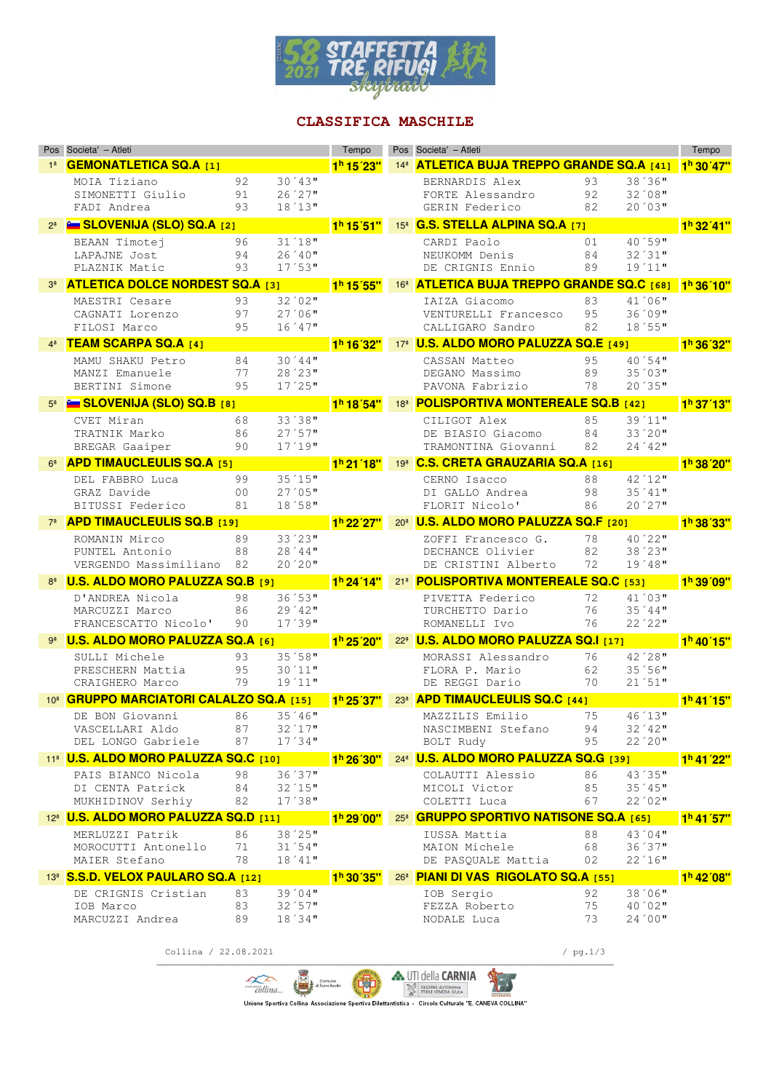

# **CLASSIFICA MASCHILE**

|                     | Pos Societa' - Atleti                                       |                |                                  | Tempo                             |                 | Pos Societa' - Atleti                                         |                |                                  | Tempo                   |
|---------------------|-------------------------------------------------------------|----------------|----------------------------------|-----------------------------------|-----------------|---------------------------------------------------------------|----------------|----------------------------------|-------------------------|
| 1 <sup>8</sup>      | <b>GEMONATLETICA SQ.A [1]</b>                               |                |                                  | 1 <sup>h</sup> 15 <sup>'23"</sup> |                 | 14 <sup>a</sup> <b>ATLETICA BUJA TREPPO GRANDE SQ.A [41]</b>  |                |                                  | 1 <sup>h</sup> 30' 47"  |
|                     | MOIA Tiziano<br>SIMONETTI Giulio<br>FADI Andrea             | 92<br>91<br>93 | $30'43$ "<br>26'27"<br>18'13''   |                                   |                 | BERNARDIS Alex<br>FORTE Alessandro<br>GERIN Federico          | 93<br>92<br>82 | 38'36"<br>32'08''<br>20'03"      |                         |
|                     | 2ª <b>E SLOVENIJA (SLO) SQ.A</b> [2]                        |                |                                  | 1 <sup>h</sup> 15'51"             |                 | 15ª G.S. STELLA ALPINA SQ.A [7]                               |                |                                  | 1 <sup>h</sup> 32' 41'' |
|                     | BEAAN Timotej<br>LAPAJNE Jost<br>PLAZNIK Matic              | 96<br>94<br>93 | 31'18''<br>$26'40$ "<br>17'53''  |                                   |                 | CARDI Paolo<br>NEUKOMM Denis<br>DE CRIGNIS Ennio              | 01<br>84<br>89 | 40'59"<br>32'31"<br>19'11"       |                         |
|                     | <b>ATLETICA DOLCE NORDEST SQ.A [3]</b>                      |                |                                  | 1 <sup>h</sup> 15'55"             |                 | 16 <sup>a</sup> <b>ATLETICA BUJA TREPPO GRANDE SQ.C</b> [68]  |                |                                  | 1 <sup>h</sup> 36'10"   |
|                     | MAESTRI Cesare<br>CAGNATI Lorenzo<br>FILOSI Marco           | 93<br>97<br>95 | $32'02$ "<br>$27'06$ "<br>16'47" |                                   |                 | IAIZA Giacomo<br>VENTURELLI Francesco<br>CALLIGARO Sandro     | 83<br>95<br>82 | $41'06$ "<br>36'09"<br>18'55"    |                         |
|                     | <b>TEAM SCARPA SQ.A [4]</b>                                 |                |                                  | 1 <sup>h</sup> 16'32"             |                 | 17 <sup>ª</sup> <b>U.S. ALDO MORO PALUZZA SQ.E [49]</b>       |                |                                  | 1 <sup>h</sup> 36'32"   |
|                     | MAMU SHAKU Petro<br>MANZI Emanuele<br>BERTINI Simone        | 84<br>77<br>95 | 30'44"<br>28'23"<br>$17'25$ "    |                                   |                 | CASSAN Matteo<br>DEGANO Massimo<br>PAVONA Fabrizio            | 95<br>89<br>78 | 40'54"<br>35'03''<br>20'35"      |                         |
|                     | <b>Example SLOVENIJA (SLO) SQ.B</b> [8]                     |                |                                  | 1 <sup>h</sup> 18'54"             |                 | 18 <sup>8</sup> POLISPORTIVA MONTEREALE SQ.B [42]             |                |                                  | 1 <sup>h</sup> 37'13"   |
|                     | CVET Miran<br>TRATNIK Marko<br>BREGAR Gaaiper               | 68<br>86<br>90 | 33'38"<br>27'57"<br>17'19''      |                                   |                 | CILIGOT Alex<br>DE BIASIO Giacomo<br>TRAMONTINA Giovanni      | 85<br>84<br>82 | 39'11"<br>$33'20$ "<br>24'42"    |                         |
|                     | <b>APD TIMAUCLEULIS SQ.A [5]</b>                            |                |                                  | 1 <sup>h</sup> 21 '18"            |                 | 19ª C.S. CRETA GRAUZARIA SQ.A [16]                            |                |                                  | 1 <sup>h</sup> 38'20"   |
|                     | DEL FABBRO Luca<br>GRAZ Davide<br>BITUSSI Federico          | 99<br>00<br>81 | 35'15"<br>27'05"<br>18'58"       |                                   |                 | CERNO Isacco<br>DI GALLO Andrea<br>FLORIT Nicolo'             | 88<br>98<br>86 | 42'12"<br>$35'41$ "<br>20'27"    |                         |
|                     | 7ª <b>APD TIMAUCLEULIS SQ.B</b> [19]                        |                |                                  | 1 <sup>h</sup> 22' 27"            |                 | 208 U.S. ALDO MORO PALUZZA SQ.F [20]                          |                |                                  | 1 <sup>h</sup> 38'33"   |
|                     | ROMANIN Mirco<br>PUNTEL Antonio<br>VERGENDO Massimiliano    | 89<br>88<br>82 | 33'23<br>28'44"<br>$20'20$ "     |                                   |                 | ZOFFI Francesco G.<br>DECHANCE Olivier<br>DE CRISTINI Alberto | 78<br>82<br>72 | 40'22"<br>38'23''<br>$19'48$ "   |                         |
| $8^{\underline{a}}$ | <b>U.S. ALDO MORO PALUZZA SQ.B</b> [9]                      |                |                                  | 1 <sup>h</sup> 24'14"             |                 | 218 POLISPORTIVA MONTEREALE SQ.C [53]                         |                |                                  | 1 <sup>h</sup> 39'09"   |
|                     | D'ANDREA Nicola<br>MARCUZZI Marco<br>FRANCESCATTO Nicolo'   | 98<br>86<br>90 | 36'53"<br>$29'42$ "<br>17'39''   |                                   |                 | PIVETTA Federico<br>TURCHETTO Dario<br>ROMANELLI Ivo          | 72<br>76<br>76 | 41'03"<br>35'44"<br>22'22"       |                         |
|                     | <b>U.S. ALDO MORO PALUZZA SQ.A</b> [6]                      |                |                                  | 1 <sup>h</sup> 25'20"             |                 | 22 <sup>a</sup> <b>U.S. ALDO MORO PALUZZA SQ.I [17]</b>       |                |                                  | $1h$ 40'15"             |
|                     | SULLI Michele<br>PRESCHERN Mattia<br>CRAIGHERO Marco        | 93<br>95<br>79 | 35'58"<br>30'11"<br>19'11"       |                                   |                 | MORASSI Alessandro<br>FLORA P. Mario<br>DE REGGI Dario        | 76<br>62<br>70 | 42'28"<br>35'56"<br>21'51"       |                         |
| 10 <sup>a</sup>     | <b>GRUPPO MARCIATORI CALALZO SQ.A [15]</b>                  |                |                                  | 1 <sup>h</sup> 25'37'             | 23 <sup>a</sup> | <b>APD TIMAUCLEULIS SQ.C [44]</b>                             |                |                                  | 1 <sup>h</sup> 41'15"   |
|                     | DE BON Giovanni<br>VASCELLARI Aldo<br>DEL LONGO Gabriele    | 86<br>87<br>87 | $35'46$ "<br>32'17"<br>17'34"    |                                   |                 | MAZZILIS Emilio<br>NASCIMBENI Stefano<br>BOLT Rudy            | 75<br>94<br>95 | 46'13''<br>32'42"<br>$22'20$ "   |                         |
|                     | 11 <sup>ª</sup> U.S. ALDO MORO PALUZZA SQ.C [10]            |                |                                  | 1 <sup>h</sup> 26'30"             |                 | 24ª U.S. ALDO MORO PALUZZA SQ.G [39]                          |                |                                  | 1 <sup>h</sup> 41'22"   |
|                     | PAIS BIANCO Nicola<br>DI CENTA Patrick<br>MUKHIDINOV Serhiy | 98<br>84<br>82 | 36'37"<br>32'15"<br>$17'38$ "    |                                   |                 | COLAUTTI Alessio<br>MICOLI Victor<br>COLETTI Luca             | 86<br>85<br>67 | 43'35"<br>35'45"<br>22'02"       |                         |
|                     | 12 <sup>a</sup> <b>U.S. ALDO MORO PALUZZA SQ.D [11]</b>     |                |                                  | 1 <sup>h</sup> 29'00"             |                 | 25ª GRUPPO SPORTIVO NATISONE SQ.A [65]                        |                |                                  | 1 <sup>h</sup> 41'57"   |
|                     | MERLUZZI Patrik<br>MOROCUTTI Antonello<br>MAIER Stefano     | 86<br>71<br>78 | $38'25$ "<br>31'54"<br>$18'41$ " |                                   |                 | IUSSA Mattia<br>MAION Michele<br>DE PASQUALE Mattia           | 88<br>68<br>02 | 43'04"<br>36'37"<br>22'16"       |                         |
|                     | 13ª S.S.D. VELOX PAULARO SQ.A [12]                          |                |                                  | 1 <sup>h</sup> 30'35"             |                 | 26 <sup>a</sup> PIANI DI VAS RIGOLATO SQ.A [55]               |                |                                  | 1 <sup>h</sup> 42'08"   |
|                     | DE CRIGNIS Cristian<br>IOB Marco<br>MARCUZZI Andrea         | 83<br>83<br>89 | $39'04$ "<br>32'57"<br>18'34"    |                                   |                 | IOB Sergio<br>FEZZA Roberto<br>NODALE Luca                    | 92<br>75<br>73 | 38'06"<br>$40'02$ "<br>$24'00$ " |                         |

Collina / 22.08.2021 / pg.1/3

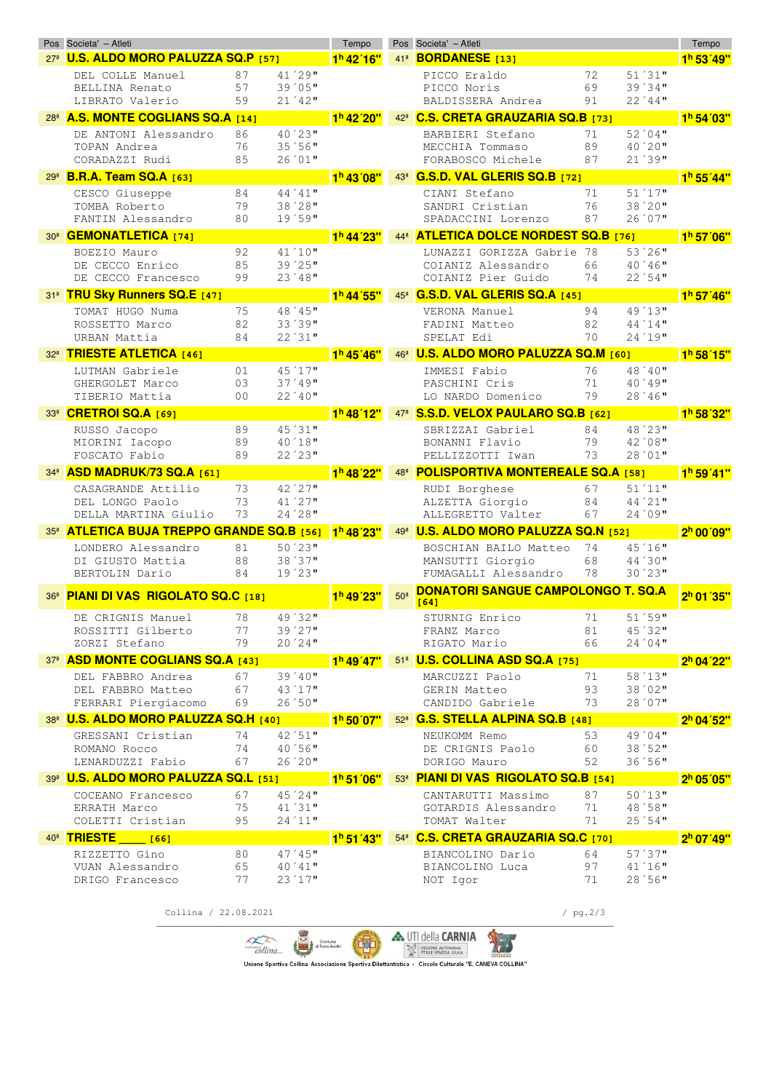|                 | Pos Societa' - Atleti                                   |                      |                     | Tempo                  |                 | Pos Societa' - Atleti                             |            |                                                                                                                       | Tempo                  |
|-----------------|---------------------------------------------------------|----------------------|---------------------|------------------------|-----------------|---------------------------------------------------|------------|-----------------------------------------------------------------------------------------------------------------------|------------------------|
|                 | 27 <sup>a</sup> <b>U.S. ALDO MORO PALUZZA SQ.P</b> [57] |                      |                     | 1 <sup>h</sup> 42' 16" | 41 <sup>3</sup> | <b>BORDANESE</b> [13]                             |            |                                                                                                                       | 1 <sup>h</sup> 53'49"  |
|                 | DEL COLLE Manuel                                        | 87                   | 41'29"              |                        |                 | PICCO Eraldo                                      | 72         | 51'31"                                                                                                                |                        |
|                 | BELLINA Renato                                          | 57                   | $39'05$ "           |                        |                 | PICCO Noris                                       | 69         | 39'34"                                                                                                                |                        |
|                 | LIBRATO Valerio                                         | 59                   | 21´42"              |                        |                 | BALDISSERA Andrea                                 | 91         | 22'44"                                                                                                                |                        |
| 28 <sup>3</sup> | <b>A.S. MONTE COGLIANS SQ.A [14]</b>                    |                      |                     | 1 <sup>h</sup> 42'20"  | 42 <sup>a</sup> | <b>C.S. CRETA GRAUZARIA SQ.B [73]</b>             |            |                                                                                                                       | 1 <sup>h</sup> 54'03"  |
|                 | DE ANTONI Alessandro                                    | 86                   | 40'23"              |                        |                 | BARBIERI Stefano                                  | 71         | 52'04"                                                                                                                |                        |
|                 | TOPAN Andrea                                            | 76                   | 35'56"              |                        |                 | MECCHIA Tommaso                                   | 89         | 40'20"                                                                                                                |                        |
|                 | CORADAZZI Rudi                                          | 85                   | 26'01"              |                        |                 | FORABOSCO Michele                                 | 87         | 21'39"                                                                                                                |                        |
|                 | 29ª <b>B.R.A. Team SQ.A [63]</b>                        |                      |                     | 1 <sup>h</sup> 43'08"  | 43 <sup>a</sup> | G.S.D. VAL GLERIS SQ.B [72]                       |            |                                                                                                                       | 1 <sup>h</sup> 55'44"  |
|                 | CESCO Giuseppe                                          | 84                   | $44'41$ "           |                        |                 | CIANI Stefano                                     | 71         | 51'17"                                                                                                                |                        |
|                 | TOMBA Roberto                                           | 79                   | 38'28"              |                        |                 | SANDRI Cristian                                   | 76         | 38'20"                                                                                                                |                        |
|                 | FANTIN Alessandro                                       | 80                   | 19'59"              |                        |                 | SPADACCINI Lorenzo                                | 87         | 26'07"                                                                                                                |                        |
|                 | 30 <sup>a</sup> <b>GEMONATLETICA</b> [74]               |                      |                     | 1 <sup>h</sup> 44'23"  | 44 <sup>3</sup> | <b>ATLETICA DOLCE NORDEST SQ.B [76]</b>           |            |                                                                                                                       | 1 <sup>h</sup> 57'06"  |
|                 | BOEZIO Mauro                                            | 92                   | 41'10"              |                        |                 | LUNAZZI GORIZZA Gabrie                            | 78         | $53'26$ "                                                                                                             |                        |
|                 | DE CECCO Enrico                                         | 85                   | $39'25$ "           |                        |                 | COIANIZ Alessandro                                | 66         | 40'46"                                                                                                                |                        |
|                 | DE CECCO Francesco                                      | 99                   | 23'48"              |                        |                 | COIANIZ Pier Guido                                | 74         | 22'54"                                                                                                                |                        |
|                 | 31ª TRU Sky Runners SQ.E [47]                           |                      |                     | 1 <sup>h</sup> 44'55"  | 45 <sup>3</sup> | G.S.D. VAL GLERIS SQ.A [45]                       |            |                                                                                                                       | 1 <sup>h</sup> 57' 46" |
|                 |                                                         |                      | 48'45"              |                        |                 | VERONA Manuel                                     |            | 49'13"                                                                                                                |                        |
|                 | TOMAT HUGO Numa<br>ROSSETTO Marco                       | 75<br>82             | 33'39"              |                        |                 | FADINI Matteo                                     | 94<br>82   | 44'14"                                                                                                                |                        |
|                 | URBAN Mattia                                            | 84                   | $22'31$ "           |                        |                 | SPELAT Edi                                        | 70         | 24'19"                                                                                                                |                        |
|                 |                                                         |                      |                     |                        |                 | <b>U.S. ALDO MORO PALUZZA SQ.M [60]</b>           |            |                                                                                                                       |                        |
| 32 <sup>a</sup> | <b>TRIESTE ATLETICA [46]</b>                            |                      |                     | 1 <sup>h</sup> 45'46"  | 46 <sup>3</sup> |                                                   |            |                                                                                                                       | 1 <sup>h</sup> 58'15"  |
|                 | LUTMAN Gabriele                                         | 01                   | 45'17"              |                        |                 | IMMESI Fabio                                      | 76         | 48'40"                                                                                                                |                        |
|                 | GHERGOLET Marco<br>TIBERIO Mattia                       | 03<br>0 <sub>0</sub> | $37'49$ "<br>22´40" |                        |                 | PASCHINI Cris<br>LO NARDO Domenico                | 71<br>79   | 40'49"<br>$28'46$ "                                                                                                   |                        |
|                 |                                                         |                      |                     |                        |                 |                                                   |            |                                                                                                                       |                        |
| 33 <sup>3</sup> | CRETROI SQ.A [69]                                       |                      |                     | 1 <sup>h</sup> 48'12"  | 47 <sup>a</sup> | S.S.D. VELOX PAULARO SQ.B [62]                    |            |                                                                                                                       | 1 <sup>h</sup> 58'32"  |
|                 | RUSSO Jacopo                                            | 89                   | 45'31"              |                        |                 | SBRIZZAI Gabriel                                  | 84         | 48'23"                                                                                                                |                        |
|                 | MIORINI Iacopo                                          | 89                   | $40'18$ "           |                        |                 | BONANNI Flavio                                    | 79         | 42'08''                                                                                                               |                        |
|                 | FOSCATO Fabio                                           | 89                   | 22'23"              |                        |                 | PELLIZZOTTI Iwan                                  | 73         | 28'01"                                                                                                                |                        |
| 34 <sup>9</sup> | ASD MADRUK/73 SQ.A [61]                                 |                      |                     | 1 <sup>h</sup> 48'22"  | 48 <sup>3</sup> | <b>POLISPORTIVA MONTEREALE SQ.A [58]</b>          |            |                                                                                                                       | 1 <sup>h</sup> 59' 41" |
|                 | CASAGRANDE Attilio                                      | 73                   | 42'27"              |                        |                 | RUDI Borghese                                     | 67         | 51'11"                                                                                                                |                        |
|                 | DEL LONGO Paolo                                         | 73                   | 41'27"              |                        |                 | ALZETTA Giorgio                                   | 84         | 44'21"                                                                                                                |                        |
|                 | DELLA MARTINA Giulio                                    | 73                   | $24'28$ "           |                        |                 | ALLEGRETTO Valter                                 | 67         | 24'09"                                                                                                                |                        |
| 35 <sup>3</sup> | <b>ATLETICA BUJA TREPPO GRANDE SQ.B [56]</b>            |                      |                     | 1 <sup>h</sup> 48'23"  | 49 <sup>a</sup> | <b>U.S. ALDO MORO PALUZZA SQ.N [52]</b>           |            |                                                                                                                       | 2 <sup>h</sup> 00'09"  |
|                 | LONDERO Alessandro                                      | 81                   | $50'23$ "           |                        |                 | BOSCHIAN BAILO Matteo                             | 74         | 45'16"                                                                                                                |                        |
|                 | DI GIUSTO Mattia                                        | 88                   | 38'37"              |                        |                 | MANSUTTI Giorgio                                  | 68         | 44'30"                                                                                                                |                        |
|                 | BERTOLIN Dario                                          | 84                   | 19'23"              |                        |                 | FUMAGALLI Alessandro                              | 78         | $30'23$ "                                                                                                             |                        |
| 36 <sup>3</sup> | PIANI DI VAS RIGOLATO SQ.C [18]                         |                      |                     | 1 <sup>h</sup> 49'23'  | 50 <sup>a</sup> | <b>DONATORI SANGUE CAMPOLONGO T. SQ.A</b><br>[64] |            |                                                                                                                       | 2 <sup>h</sup> 01'35"  |
|                 | DE CRIGNIS Manuel                                       | 78                   | 49'32"              |                        |                 | STURNIG Enrico                                    | 71         | 51'59"                                                                                                                |                        |
|                 | ROSSITTI Gilberto                                       | 77                   | 39'27"              |                        |                 | FRANZ Marco                                       | 81         | 45'32"                                                                                                                |                        |
|                 | ZORZI Stefano                                           | 79                   | $20'24$ "           |                        |                 | RIGATO Mario                                      | 66         | 24'04"                                                                                                                |                        |
|                 | 37ª ASD MONTE COGLIANS SQ.A [43]                        |                      |                     | $1h$ 49'47"            |                 | 51ª <b>U.S. COLLINA ASD SQ.A</b> [75]             |            |                                                                                                                       | 2 <sup>h</sup> 04'22"  |
|                 | DEL FABBRO Andrea                                       | 67                   | $39'40$ "           |                        |                 | MARCUZZI Paolo                                    | 71         | 58'13"                                                                                                                |                        |
|                 | DEL FABBRO Matteo                                       | 67                   | 43'17"              |                        |                 | GERIN Matteo                                      | 93         | $38'02$ "                                                                                                             |                        |
|                 | FERRARI Piergiacomo                                     | 69                   | 26'50"              |                        |                 | CANDIDO Gabriele 73                               |            | 28'07"                                                                                                                |                        |
|                 | 38ª <b>U.S. ALDO MORO PALUZZA SQ.H</b> [40] 1h 50 07"   |                      |                     |                        |                 | 52ª G.S. STELLA ALPINA SQ.B [48]                  |            |                                                                                                                       | 2 <sup>h</sup> 04'52"  |
|                 | GRESSANI Cristian                                       | 74                   | $42'51$ "           |                        |                 | NEUKOMM Remo                                      | 53         | $49'04$ "                                                                                                             |                        |
|                 | ROMANO Rocco                                            | 74                   | $40'56$ "           |                        |                 | DE CRIGNIS Paolo                                  | 60         | 38'52"                                                                                                                |                        |
|                 | LENARDUZZI Fabio                                        | 67                   | 26'20"              |                        |                 | DORIGO Mauro                                      | 52         | 36'56"                                                                                                                |                        |
|                 | 39ª <b>U.S. ALDO MORO PALUZZA SQ.L [51]</b>             |                      |                     | 1 <sup>h</sup> 51'06"  |                 | 53ª PIANI DI VAS RIGOLATO SQ.B [54]               |            |                                                                                                                       | 2 <sup>h</sup> 05' 05" |
|                 | COCEANO Francesco                                       | 67                   | $45^{\degree}24$ "  |                        |                 | CANTARUTTI Massimo                                | 87         | 50'13"                                                                                                                |                        |
|                 | ERRATH Marco                                            | 75                   | 41'31"              |                        |                 | GOTARDIS Alessandro                               | 71         | 48'58''                                                                                                               |                        |
|                 | COLETTI Cristian                                        | 95                   | 24'11"              |                        |                 | TOMAT Walter                                      | 71         | 25'54"                                                                                                                |                        |
|                 | 40 <sup>a</sup> TRIESTE [66]                            |                      |                     | 1 <sup>h</sup> 51' 43" |                 | 54ª C.S. CRETA GRAUZARIA SQ.C [70]                |            | <b>Contract Contract Contract Contract Contract Contract Contract Contract Contract Contract Contract Contract Co</b> | 2 <sup>h</sup> 07'49"  |
|                 | RIZZETTO Gino                                           | 80                   | $47'45$ "           |                        |                 | BIANCOLINO Dario                                  | 64         | 57'37"                                                                                                                |                        |
|                 | VUAN Alessandro                                         | 65                   | $40'41$ "           |                        |                 | BIANCOLINO Luca                                   | 97         | 41'16''                                                                                                               |                        |
|                 | DRIGO Francesco                                         | 77                   | 23'17"              |                        |                 | NOT Igor                                          | 71         | 28'56"                                                                                                                |                        |
|                 |                                                         |                      |                     |                        |                 |                                                   |            |                                                                                                                       |                        |
|                 | Collina / 22.08.2021                                    |                      |                     |                        |                 |                                                   | / $pg.2/3$ |                                                                                                                       |                        |

Collina... 好 Collina d'Espagne de Marine de la Company de Marine de La Company de Marine de La Company de la CARNIA<br>Unione Sportiva Collina Associazione Sportiva Dilettantistica - Circolo Culturale "E. CANEVA COLLINA"

**A UTI della CARNIA**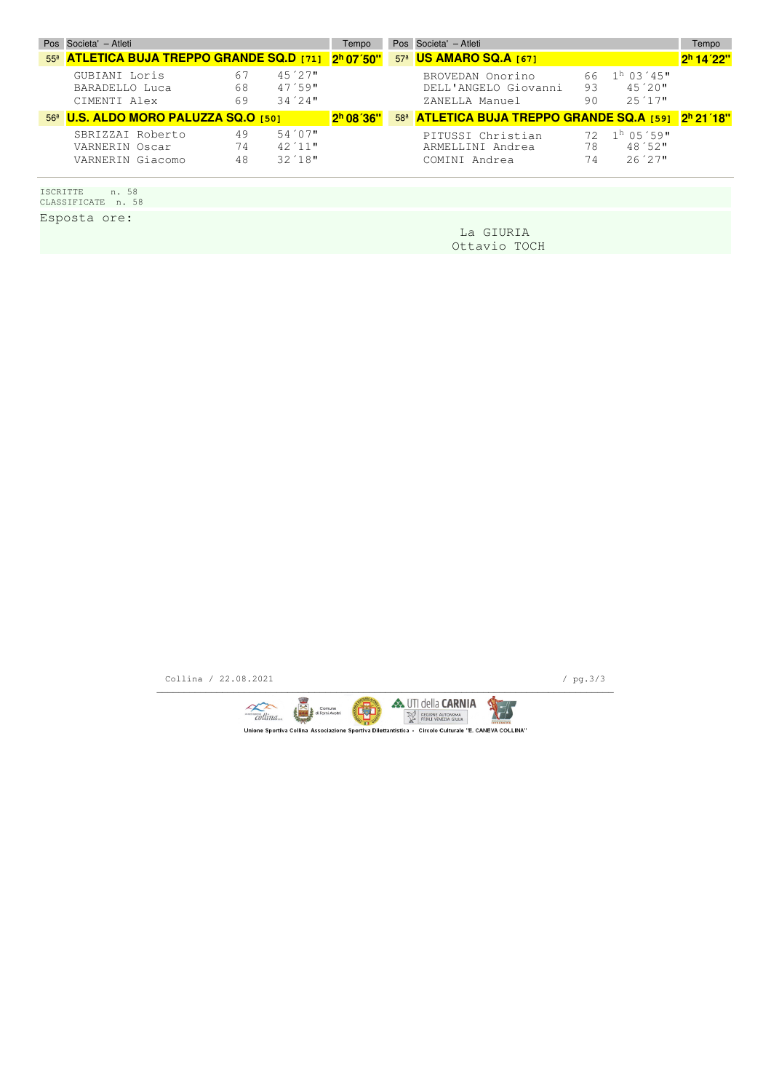| Pos Societa' - Atleti                                           |                 |                                  | Tempo                 | Pos Societa' - Atleti                                      |                |                                                      | Tempo                 |
|-----------------------------------------------------------------|-----------------|----------------------------------|-----------------------|------------------------------------------------------------|----------------|------------------------------------------------------|-----------------------|
| 55 <sup>8</sup> ATLETICA BUJA TREPPO GRANDE SQ.D [71] 2h 07'50" |                 |                                  |                       | 57 <sup>ª</sup> US AMARO SQ.A [67]                         |                |                                                      | 2 <sup>h</sup> 14'22" |
| GUBIANI Loris<br>BARADELLO Luca<br>CIMENTI Alex                 | -67<br>68<br>69 | 45'27"<br>47'59"<br>34'24        |                       | BROVEDAN Onorino<br>DELL'ANGELO Giovanni<br>ZANELLA Manuel | 66<br>93<br>90 | $1h$ 0.3 $'$ 4.5"<br>$45'20$ "<br>$2.5 \times 1.7$ " |                       |
| 56ª U.S. ALDO MORO PALUZZA SQ.O [50]                            |                 |                                  | 2 <sup>h</sup> 08'36" | 58ª <b>ATLETICA BUJA TREPPO GRANDE SQ.A [59]</b> 2h 21'18" |                |                                                      |                       |
| SBRIZZAI Roberto<br>VARNERIN Oscar<br>VARNERIN Giacomo          | 49<br>74<br>48  | $54'07$ "<br>42'11"<br>$32'18$ " |                       | PITUSSI Christian<br>ARMELLINI Andrea<br>COMINI Andrea     | 78<br>74       | $72.1h05.59$ "<br>$48'52$ "<br>26'27"                |                       |

ISCRITTE n. 58 CLASSIFICATE n. 58

Esposta ore:

 La GIURIA Ottavio TOCH

Collina / 22.08.2021 / pg.3/3

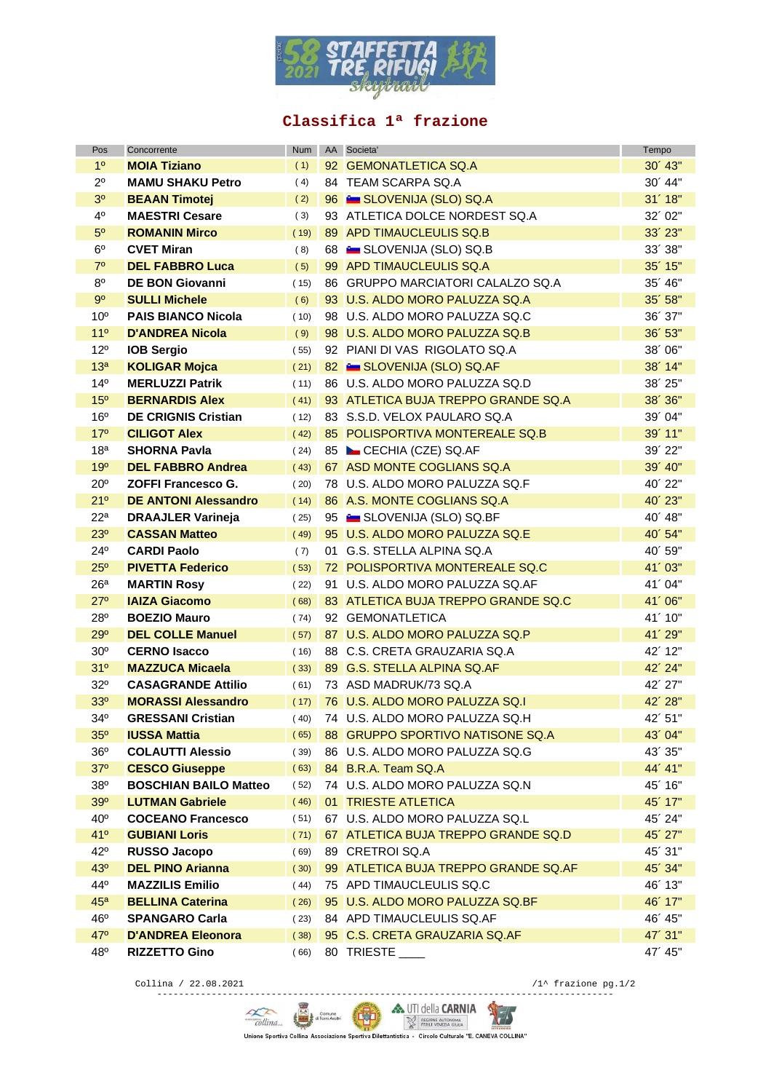

#### **Classifica 1ª frazione**

| Pos             | Concorrente                  | Num  | AA Societa'                              | Tempo       |
|-----------------|------------------------------|------|------------------------------------------|-------------|
| 1 <sup>0</sup>  | <b>MOIA Tiziano</b>          | (1)  | 92 GEMONATLETICA SQ.A                    | $30'$ 43"   |
| $2^{\circ}$     | <b>MAMU SHAKU Petro</b>      | (4)  | 84 TEAM SCARPA SQ.A                      | 30'44"      |
| 3 <sup>o</sup>  | <b>BEAAN Timotej</b>         | (2)  | 96 SLOVENIJA (SLO) SQ.A                  | 31'18"      |
| 4°              | <b>MAESTRI Cesare</b>        | (3)  | 93 ATLETICA DOLCE NORDEST SQ.A           | 32'02"      |
| 5 <sup>o</sup>  | <b>ROMANIN Mirco</b>         | (19) | 89 APD TIMAUCLEULIS SQ.B                 | $33'$ $23"$ |
| 6 <sup>o</sup>  | <b>CVET Miran</b>            | (8)  | 68 E SLOVENIJA (SLO) SQ.B                | 33'38"      |
| $7^\circ$       | <b>DEL FABBRO Luca</b>       | (5)  | 99 APD TIMAUCLEULIS SQ.A                 | $35'$ 15"   |
| $8^{\circ}$     | <b>DE BON Giovanni</b>       | (15) | 86 GRUPPO MARCIATORI CALALZO SQ.A        | 35' 46"     |
| $9^{\circ}$     | <b>SULLI Michele</b>         | (6)  | 93 U.S. ALDO MORO PALUZZA SQ.A           | 35'58"      |
| 10 <sup>o</sup> | <b>PAIS BIANCO Nicola</b>    | (10) | 98 U.S. ALDO MORO PALUZZA SQ.C           | 36'37"      |
| 11 <sup>°</sup> | <b>D'ANDREA Nicola</b>       | (9)  | 98 U.S. ALDO MORO PALUZZA SQ.B           | 36' 53"     |
| $12^{\circ}$    | <b>IOB Sergio</b>            | (55) | 92 PIANI DI VAS RIGOLATO SQ.A            | 38'06"      |
| 13 <sup>a</sup> | <b>KOLIGAR Mojca</b>         | (21) | 82 SLOVENIJA (SLO) SQ.AF                 | 38' 14"     |
| $14^{\circ}$    | <b>MERLUZZI Patrik</b>       | (11) | 86 U.S. ALDO MORO PALUZZA SQ.D           | 38' 25"     |
| 15 <sup>o</sup> | <b>BERNARDIS Alex</b>        | (41) | 93 ATLETICA BUJA TREPPO GRANDE SQ.A      | 38' 36"     |
| 16°             | <b>DE CRIGNIS Cristian</b>   | (12) | 83 S.S.D. VELOX PAULARO SQ.A             | 39'04"      |
| 17 <sup>°</sup> | <b>CILIGOT Alex</b>          | (42) | 85 POLISPORTIVA MONTEREALE SQ.B          | 39' 11"     |
| 18 <sup>a</sup> | <b>SHORNA Pavla</b>          | (24) | 85 CECHIA (CZE) SQ.AF                    | 39' 22"     |
| 19°             | <b>DEL FABBRO Andrea</b>     | (43) | 67 ASD MONTE COGLIANS SQ.A               | 39' 40"     |
| $20^{\circ}$    | <b>ZOFFI Francesco G.</b>    | (20) | 78 U.S. ALDO MORO PALUZZA SQ.F           | 40' 22"     |
| 21°             | <b>DE ANTONI Alessandro</b>  | (14) | 86 A.S. MONTE COGLIANS SQ.A              | 40' 23"     |
| 22 <sup>a</sup> | <b>DRAAJLER Varineja</b>     | (25) | 95 <b>External SLOVENIJA (SLO) SQ.BF</b> | 40' 48"     |
| 23 <sup>o</sup> | <b>CASSAN Matteo</b>         | (49) | 95 U.S. ALDO MORO PALUZZA SQ.E           | 40' 54"     |
| $24^{\circ}$    | <b>CARDI Paolo</b>           | (7)  | 01 G.S. STELLA ALPINA SQ.A               | 40'59"      |
| $25^{\circ}$    | <b>PIVETTA Federico</b>      | (53) | 72 POLISPORTIVA MONTEREALE SQ.C          | 41'03"      |
| 26 <sup>a</sup> | <b>MARTIN Rosy</b>           | (22) | 91 U.S. ALDO MORO PALUZZA SQ.AF          | 41'04"      |
| $27^\circ$      | <b>IAIZA Giacomo</b>         | (68) | 83 ATLETICA BUJA TREPPO GRANDE SQ.C      | 41'06"      |
| $28^{\circ}$    | <b>BOEZIO Mauro</b>          | (74) | 92 GEMONATLETICA                         | 41' 10"     |
| 29°             | <b>DEL COLLE Manuel</b>      | (57) | 87 U.S. ALDO MORO PALUZZA SQ.P           | 41'29"      |
| 30 <sup>o</sup> | <b>CERNO Isacco</b>          | (16) | 88 C.S. CRETA GRAUZARIA SQ.A             | 42' 12"     |
| 31°             | <b>MAZZUCA Micaela</b>       | (33) | 89 G.S. STELLA ALPINA SQ.AF              | 42' 24"     |
| 32°             | <b>CASAGRANDE Attilio</b>    | (61) | 73 ASD MADRUK/73 SQ.A                    | 42' 27"     |
| <b>33°</b>      | <b>MORASSI Alessandro</b>    | (17) | 76 U.S. ALDO MORO PALUZZA SQ.I           | 42' 28"     |
| 34°             | <b>GRESSANI Cristian</b>     | (40) | 74 U.S. ALDO MORO PALUZZA SQ.H           | 42' 51"     |
| $35^\circ$      | <b>IUSSA Mattia</b>          | (65) | 88 GRUPPO SPORTIVO NATISONE SQ.A         | 43' 04"     |
| 36°             | <b>COLAUTTI Alessio</b>      | (39) | 86 U.S. ALDO MORO PALUZZA SQ.G           | 43' 35"     |
| $37^\circ$      | <b>CESCO Giuseppe</b>        | (63) | 84 B.R.A. Team SQ.A                      | 44' 41"     |
| $38^{\circ}$    | <b>BOSCHIAN BAILO Matteo</b> | (52) | 74 U.S. ALDO MORO PALUZZA SQ.N           | 45' 16"     |
| 39°             | <b>LUTMAN Gabriele</b>       | (46) | 01 TRIESTE ATLETICA                      | $45'$ 17"   |
| $40^{\circ}$    | <b>COCEANO Francesco</b>     | (51) | 67 U.S. ALDO MORO PALUZZA SQ.L           | 45' 24"     |
| 41°             | <b>GUBIANI Loris</b>         | (71) | 67 ATLETICA BUJA TREPPO GRANDE SQ.D      | 45' 27"     |
| $42^{\circ}$    | RUSSO Jacopo                 | (69) | 89 CRETROI SQ.A                          | 45'31"      |
| 43 <sup>o</sup> | <b>DEL PINO Arianna</b>      | (30) | 99 ATLETICA BUJA TREPPO GRANDE SQ.AF     | 45' 34"     |
| 44°             | <b>MAZZILIS Emilio</b>       | (44) | 75 APD TIMAUCLEULIS SQ.C                 | 46' 13"     |
| 45 <sup>a</sup> | <b>BELLINA Caterina</b>      | (26) | 95 U.S. ALDO MORO PALUZZA SQ.BF          | $46'$ 17"   |
| 46°             | <b>SPANGARO Carla</b>        | (23) | 84 APD TIMAUCLEULIS SQ.AF                | 46' 45"     |
| 47°             | <b>D'ANDREA Eleonora</b>     | (38) | 95 C.S. CRETA GRAUZARIA SQ.AF            | 47' 31"     |
| 48°             | <b>RIZZETTO Gino</b>         | (66) | 80 TRIESTE                               | 47' 45"     |

Collina / 22.08.2021 /1^ frazione pg.1/2

------------------------------------------------------------------------------------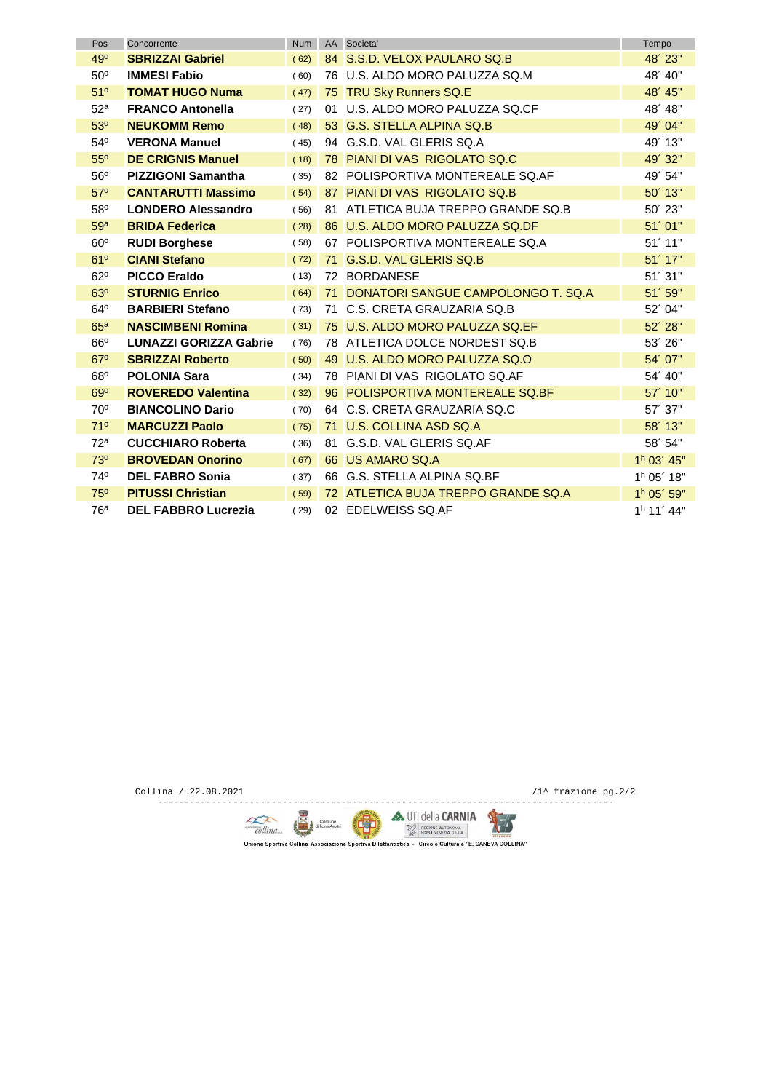| Pos             | Concorrente                   | <b>Num</b> |     | AA Societa'                         | Tempo                  |
|-----------------|-------------------------------|------------|-----|-------------------------------------|------------------------|
| 49°             | <b>SBRIZZAI Gabriel</b>       | (62)       |     | 84 S.S.D. VELOX PAULARO SQ.B        | 48' 23"                |
| $50^\circ$      | <b>IMMESI Fabio</b>           | (60)       |     | 76 U.S. ALDO MORO PALUZZA SQ.M      | 48' 40"                |
| 51°             | <b>TOMAT HUGO Numa</b>        | (47)       |     | 75 TRU Sky Runners SQ.E             | 48' 45"                |
| 52 <sup>a</sup> | <b>FRANCO Antonella</b>       | (27)       | 01. | U.S. ALDO MORO PALUZZA SQ.CF        | 48' 48"                |
| 53 <sup>o</sup> | <b>NEUKOMM Remo</b>           | (48)       |     | 53 G.S. STELLA ALPINA SQ.B          | 49' 04"                |
| $54^{\circ}$    | <b>VERONA Manuel</b>          | (45)       |     | 94 G.S.D. VAL GLERIS SQ.A           | 49' 13"                |
| $55^{\circ}$    | <b>DE CRIGNIS Manuel</b>      | (18)       |     | 78 PIANI DI VAS RIGOLATO SO.C       | 49'32"                 |
| 56°             | <b>PIZZIGONI Samantha</b>     | (35)       |     | 82 POLISPORTIVA MONTEREALE SQ.AF    | 49' 54"                |
| $57^\circ$      | <b>CANTARUTTI Massimo</b>     | (54)       |     | 87 PIANI DI VAS RIGOLATO SQ.B       | $50'$ 13"              |
| 58°             | <b>LONDERO Alessandro</b>     | (56)       |     | 81 ATLETICA BUJA TREPPO GRANDE SQ.B | 50' 23"                |
| 59 <sup>a</sup> | <b>BRIDA Federica</b>         | (28)       |     | 86 U.S. ALDO MORO PALUZZA SQ.DF     | 51'01"                 |
| $60^\circ$      | <b>RUDI Borghese</b>          | (58)       |     | 67 POLISPORTIVA MONTEREALE SQ.A     | 51'11"                 |
| 61°             | <b>CIANI Stefano</b>          | (72)       |     | 71 G.S.D. VAL GLERIS SQ.B           | $51'$ 17"              |
| $62^\circ$      | <b>PICCO Eraldo</b>           | (13)       |     | 72 BORDANESE                        | 51'31"                 |
| 63 <sup>o</sup> | <b>STURNIG Enrico</b>         | (64)       | 71  | DONATORI SANGUE CAMPOLONGO T. SQ.A  | 51'59"                 |
| $64^{\circ}$    | <b>BARBIERI Stefano</b>       | (73)       | 71  | C.S. CRETA GRAUZARIA SQ.B           | 52'04"                 |
| 65 <sup>a</sup> | <b>NASCIMBENI Romina</b>      | (31)       |     | 75 U.S. ALDO MORO PALUZZA SQ.EF     | $52'$ 28"              |
| $66^\circ$      | <b>LUNAZZI GORIZZA Gabrie</b> | (76)       |     | 78 ATLETICA DOLCE NORDEST SQ.B      | 53'26"                 |
| $67^\circ$      | <b>SBRIZZAI Roberto</b>       | (50)       |     | 49 U.S. ALDO MORO PALUZZA SQ.O      | 54'07"                 |
| $68^\circ$      | <b>POLONIA Sara</b>           | (34)       |     | 78 PIANI DI VAS RIGOLATO SQ.AF      | 54' 40"                |
| $69^\circ$      | <b>ROVEREDO Valentina</b>     | (32)       |     | 96 POLISPORTIVA MONTEREALE SQ.BF    | 57' 10"                |
| $70^{\circ}$    | <b>BIANCOLINO Dario</b>       | (70)       |     | 64 C.S. CRETA GRAUZARIA SQ.C        | 57'37"                 |
| 71°             | <b>MARCUZZI Paolo</b>         | (75)       |     | 71 U.S. COLLINA ASD SQ.A            | $58'$ 13"              |
| 72 <sup>a</sup> | <b>CUCCHIARO Roberta</b>      | (36)       |     | 81 G.S.D. VAL GLERIS SQ.AF          | 58'54"                 |
| 73 <sup>o</sup> | <b>BROVEDAN Onorino</b>       | (67)       |     | 66 US AMARO SQ.A                    | 1 <sup>h</sup> 03' 45" |
| 74°             | <b>DEL FABRO Sonia</b>        | (37)       |     | 66 G.S. STELLA ALPINA SQ.BF         | 1 <sup>h</sup> 05' 18" |
| 75°             | <b>PITUSSI Christian</b>      | (59)       |     | 72 ATLETICA BUJA TREPPO GRANDE SQ.A | 1 <sup>h</sup> 05' 59" |
| 76 <sup>a</sup> | <b>DEL FABBRO Lucrezia</b>    | (29)       |     | 02 EDELWEISS SQ.AF                  | 1 <sup>h</sup> 11' 44" |

Collina / 22.08.2021 /1^ frazione pg.2/2 ------------------------------------------------------------------------------------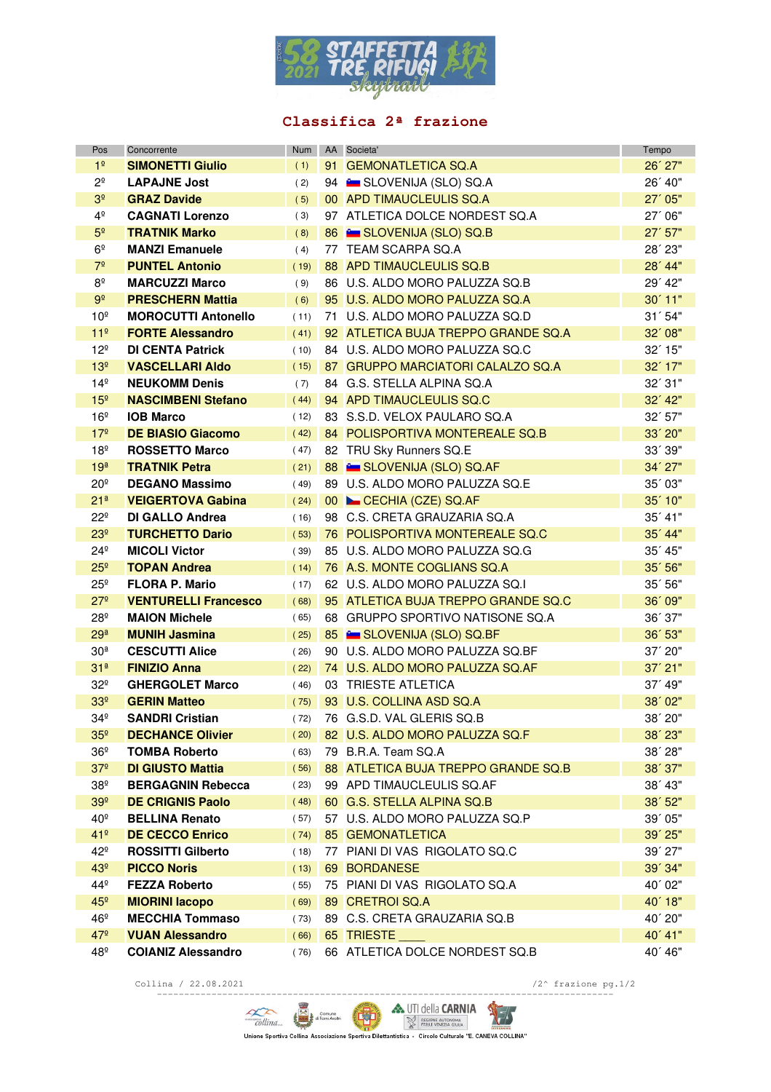

## **Classifica 2ª frazione**

| Pos             | Concorrente                 | <b>Num</b> | AA Societa'                             | Tempo     |
|-----------------|-----------------------------|------------|-----------------------------------------|-----------|
| 1 <sup>°</sup>  | <b>SIMONETTI Giulio</b>     | (1)        | 91 GEMONATLETICA SQ.A                   | 26' 27"   |
| $2^{\circ}$     | <b>LAPAJNE Jost</b>         | (2)        | 94 E SLOVENIJA (SLO) SQ.A               | 26' 40"   |
| 3 <sup>°</sup>  | <b>GRAZ Davide</b>          | (5)        | 00 APD TIMAUCLEULIS SQ.A                | 27'05"    |
| $4^{\circ}$     | <b>CAGNATI Lorenzo</b>      | (3)        | 97 ATLETICA DOLCE NORDEST SQ.A          | 27' 06"   |
| 5 <sup>o</sup>  | <b>TRATNIK Marko</b>        | (8)        | 86 E SLOVENIJA (SLO) SQ.B               | $27'$ 57" |
| 6 <sup>°</sup>  | <b>MANZI Emanuele</b>       | (4)        | 77 TEAM SCARPA SQ.A                     | 28' 23"   |
| 7 <sup>°</sup>  | <b>PUNTEL Antonio</b>       | (19)       | 88 APD TIMAUCLEULIS SQ.B                | 28' 44"   |
| $8^\mathrm{o}$  | <b>MARCUZZI Marco</b>       | (9)        | 86 U.S. ALDO MORO PALUZZA SQ.B          | 29' 42"   |
| 9 <sup>°</sup>  | <b>PRESCHERN Mattia</b>     | (6)        | 95 U.S. ALDO MORO PALUZZA SQ.A          | $30'$ 11" |
| 10 <sup>°</sup> | <b>MOROCUTTI Antonello</b>  | (11)       | 71 U.S. ALDO MORO PALUZZA SQ.D          | 31'54"    |
| 11 <sup>°</sup> | <b>FORTE Alessandro</b>     | (41)       | 92 ATLETICA BUJA TREPPO GRANDE SQ.A     | 32'08"    |
| $12^{\circ}$    | <b>DI CENTA Patrick</b>     | (10)       | 84 U.S. ALDO MORO PALUZZA SQ.C          | $32'$ 15" |
| 13 <sup>°</sup> | <b>VASCELLARI Aldo</b>      | (15)       | 87 GRUPPO MARCIATORI CALALZO SQ.A       | $32'$ 17" |
| 14 <sup>°</sup> | <b>NEUKOMM Denis</b>        | (7)        | 84 G.S. STELLA ALPINA SQ.A              | 32'31"    |
| 15 <sup>°</sup> | <b>NASCIMBENI Stefano</b>   | (44)       | 94 APD TIMAUCLEULIS SQ.C                | $32'$ 42" |
| 16 <sup>°</sup> | <b>IOB Marco</b>            | (12)       | 83 S.S.D. VELOX PAULARO SQ.A            | 32' 57"   |
| 17 <sup>°</sup> | <b>DE BIASIO Giacomo</b>    | (42)       | 84 POLISPORTIVA MONTEREALE SQ.B         | $33'$ 20" |
| 18 <sup>°</sup> | <b>ROSSETTO Marco</b>       | (47)       | 82 TRU Sky Runners SQ.E                 | 33' 39"   |
| 19 <sup>a</sup> | <b>TRATNIK Petra</b>        | (21)       | 88 SLOVENIJA (SLO) SQ.AF                | 34' 27"   |
| $20^{\circ}$    | <b>DEGANO Massimo</b>       | (49)       | 89 U.S. ALDO MORO PALUZZA SQ.E          | 35' 03"   |
| 21 <sup>a</sup> | <b>VEIGERTOVA Gabina</b>    | (24)       | 00 CECHIA (CZE) SQ.AF                   | $35'$ 10" |
| $22^{\circ}$    | <b>DI GALLO Andrea</b>      | (16)       | 98 C.S. CRETA GRAUZARIA SQ.A            | $35'$ 41" |
| 23 <sup>°</sup> | <b>TURCHETTO Dario</b>      | (53)       | 76 POLISPORTIVA MONTEREALE SQ.C         | 35' 44"   |
| $24^{\circ}$    | <b>MICOLI Victor</b>        | (39)       | 85 U.S. ALDO MORO PALUZZA SQ.G          | $35'$ 45" |
| 25 <sup>°</sup> | <b>TOPAN Andrea</b>         | (14)       | 76 A.S. MONTE COGLIANS SQ.A             | 35' 56"   |
| $25^{\circ}$    | <b>FLORA P. Mario</b>       | (17)       | 62 U.S. ALDO MORO PALUZZA SQ.I          | 35'56"    |
| 27 <sup>°</sup> | <b>VENTURELLI Francesco</b> | (68)       | 95 ATLETICA BUJA TREPPO GRANDE SQ.C     | 36' 09"   |
| $28^{\circ}$    | <b>MAION Michele</b>        | (65)       | 68 GRUPPO SPORTIVO NATISONE SQ.A        | 36' 37"   |
| 29 <sup>a</sup> | <b>MUNIH Jasmina</b>        | (25)       | 85 <b>Example SLOVENIJA (SLO) SQ.BF</b> | 36' 53"   |
| 30 <sup>a</sup> | <b>CESCUTTI Alice</b>       | (26)       | 90 U.S. ALDO MORO PALUZZA SQ.BF         | $37'$ 20" |
| 31 <sup>a</sup> | <b>FINIZIO Anna</b>         | (22)       | 74 U.S. ALDO MORO PALUZZA SQ.AF         | $37'$ 21" |
| $32^{\circ}$    | <b>GHERGOLET Marco</b>      | (46)       | 03 TRIESTE ATLETICA                     | 37' 49"   |
| 33 <sup>°</sup> | <b>GERIN Matteo</b>         | (75)       | 93 U.S. COLLINA ASD SQ.A                | 38' 02"   |
| $34^{\circ}$    | <b>SANDRI Cristian</b>      | (72)       | 76 G.S.D. VAL GLERIS SQ.B               | 38' 20"   |
| 35 <sup>°</sup> | <b>DECHANCE Olivier</b>     | (20)       | 82 U.S. ALDO MORO PALUZZA SQ.F          | 38' 23"   |
| $36^{\circ}$    | <b>TOMBA Roberto</b>        | (63)       | 79 B.R.A. Team SQ.A                     | $38'$ 28" |
| 37 <sup>°</sup> | <b>DI GIUSTO Mattia</b>     | (56)       | 88 ATLETICA BUJA TREPPO GRANDE SQ.B     | 38' 37"   |
| $38^{\circ}$    | <b>BERGAGNIN Rebecca</b>    | (23)       | 99 APD TIMAUCLEULIS SQ.AF               | 38' 43"   |
| 39 <sup>°</sup> | <b>DE CRIGNIS Paolo</b>     | (48)       | 60 G.S. STELLA ALPINA SQ.B              | 38' 52"   |
| 40°             | <b>BELLINA Renato</b>       | (57)       | 57 U.S. ALDO MORO PALUZZA SQ.P          | 39' 05"   |
| 41 <sup>°</sup> | <b>DE CECCO Enrico</b>      | (74)       | 85 GEMONATLETICA                        | $39'$ 25" |
| $42^{\circ}$    | <b>ROSSITTI Gilberto</b>    | (18)       | 77 PIANI DI VAS RIGOLATO SQ.C           | $39'$ 27" |
| 43 <sup>°</sup> | <b>PICCO Noris</b>          | (13)       | 69 BORDANESE                            | 39' 34"   |
| $44^{\circ}$    | <b>FEZZA Roberto</b>        | (55)       | 75 PIANI DI VAS RIGOLATO SQ.A           | 40'02"    |
| 45 <sup>°</sup> | <b>MIORINI Iacopo</b>       | (69)       | 89 CRETROI SQ.A                         | $40'$ 18" |
| $46^{\circ}$    | <b>MECCHIA Tommaso</b>      | (73)       | 89 C.S. CRETA GRAUZARIA SQ.B            | 40' 20"   |
| $47^{\circ}$    | <b>VUAN Alessandro</b>      | (66)       | 65 TRIESTE                              | 40' 41"   |
| 48º             | <b>COIANIZ Alessandro</b>   | (76)       | 66 ATLETICA DOLCE NORDEST SQ.B          | 40' 46"   |

Collina / 22.08.2021 /2^ frazione pg.1/2

 $\sum_{\text{Collina}}$   $\sum_{\text{com}}$   $\sum_{\text{com}}$  **A** UTI della **CARNIA**<br>Unione Sportiva Collina Associazione Sportiva Dilettantistica - Circolo Culturale "E. CANEVA COLLINA"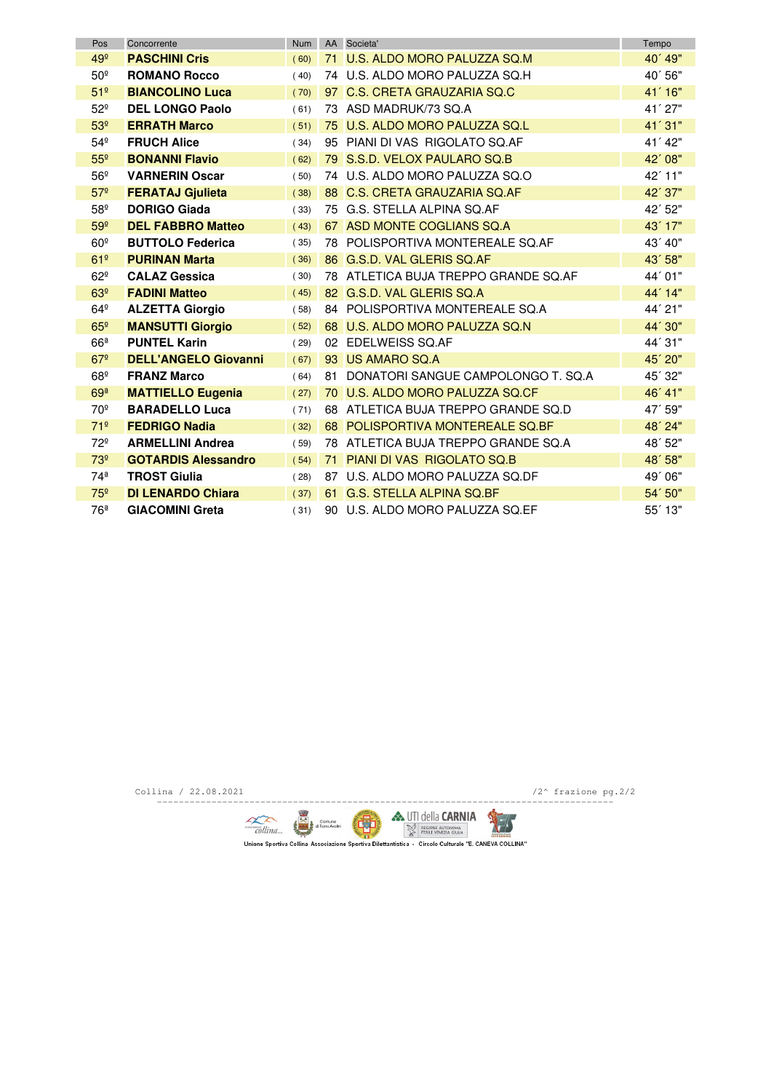| Pos             | Concorrente                 | <b>Num</b> |    | AA Societa'                          | Tempo     |
|-----------------|-----------------------------|------------|----|--------------------------------------|-----------|
| 49 <sup>°</sup> | <b>PASCHINI Cris</b>        | (60)       |    | 71 U.S. ALDO MORO PALUZZA SQ.M       | 40´49"    |
| $50^\circ$      | <b>ROMANO Rocco</b>         | (40)       |    | 74 U.S. ALDO MORO PALUZZA SQ.H       | 40'56"    |
| 51 <sup>°</sup> | <b>BIANCOLINO Luca</b>      | (70)       |    | 97 C.S. CRETA GRAUZARIA SQ.C         | 41'16"    |
| $52^{\circ}$    | <b>DEL LONGO Paolo</b>      | (61)       |    | 73 ASD MADRUK/73 SQ.A                | $41'$ 27" |
| 53 <sup>°</sup> | <b>ERRATH Marco</b>         | (51)       |    | 75 U.S. ALDO MORO PALUZZA SQ.L       | 41'31"    |
| $54^{\circ}$    | <b>FRUCH Alice</b>          | (34)       |    | 95 PIANI DI VAS RIGOLATO SQ.AF       | 41' 42"   |
| 55 <sup>°</sup> | <b>BONANNI Flavio</b>       | (62)       |    | 79 S.S.D. VELOX PAULARO SQ.B         | 42' 08"   |
| $56^{\circ}$    | <b>VARNERIN Oscar</b>       | (50)       |    | 74 U.S. ALDO MORO PALUZZA SQ.O       | 42' 11"   |
| 57 <sup>°</sup> | <b>FERATAJ Gjulieta</b>     | (38)       |    | 88 C.S. CRETA GRAUZARIA SQ.AF        | 42' 37"   |
| 58 <sup>°</sup> | <b>DORIGO Giada</b>         | (33)       |    | 75 G.S. STELLA ALPINA SQ.AF          | 42'52"    |
| 59 <sup>°</sup> | <b>DEL FABBRO Matteo</b>    | (43)       |    | 67 ASD MONTE COGLIANS SQ.A           | 43' 17"   |
| 60 <sup>°</sup> | <b>BUTTOLO Federica</b>     | (35)       |    | 78 POLISPORTIVA MONTEREALE SQ.AF     | 43' 40"   |
| 61 <sup>°</sup> | <b>PURINAN Marta</b>        | (36)       |    | 86 G.S.D. VAL GLERIS SQ.AF           | 43' 58"   |
| $62^{\circ}$    | <b>CALAZ Gessica</b>        | (30)       |    | 78 ATLETICA BUJA TREPPO GRANDE SQ.AF | 44' 01"   |
| 63 <sup>°</sup> | <b>FADINI Matteo</b>        | (45)       |    | 82 G.S.D. VAL GLERIS SQ.A            | 44' 14"   |
| $64^{\circ}$    | <b>ALZETTA Giorgio</b>      | (58)       |    | 84 POLISPORTIVA MONTEREALE SQ.A      | 44' 21"   |
| 65 <sup>°</sup> | <b>MANSUTTI Giorgio</b>     | (52)       |    | 68 U.S. ALDO MORO PALUZZA SQ.N       | 44' 30"   |
| 66 <sup>a</sup> | <b>PUNTEL Karin</b>         | (29)       |    | 02 EDELWEISS SQ.AF                   | 44' 31"   |
| 67 <sup>°</sup> | <b>DELL'ANGELO Giovanni</b> | (67)       |    | 93 US AMARO SQ.A                     | 45' 20"   |
| $68^{\circ}$    | <b>FRANZ Marco</b>          | (64)       | 81 | DONATORI SANGUE CAMPOLONGO T. SQ.A   | 45' 32"   |
| 69 <sup>a</sup> | <b>MATTIELLO Eugenia</b>    | (27)       |    | 70 U.S. ALDO MORO PALUZZA SQ.CF      | 46' 41"   |
| 70 <sup>°</sup> | <b>BARADELLO Luca</b>       | (71)       |    | 68 ATLETICA BUJA TREPPO GRANDE SQ.D  | 47' 59"   |
| 71 <sup>°</sup> | <b>FEDRIGO Nadia</b>        | (32)       |    | 68 POLISPORTIVA MONTEREALE SQ.BF     | 48' 24"   |
| $72^{\circ}$    | <b>ARMELLINI Andrea</b>     | (59)       |    | 78 ATLETICA BUJA TREPPO GRANDE SQ.A  | 48'52"    |
| 73 <sup>°</sup> | <b>GOTARDIS Alessandro</b>  | (54)       | 71 | PIANI DI VAS RIGOLATO SQ.B           | 48' 58"   |
| $74^{\circ}$    | <b>TROST Giulia</b>         | (28)       |    | 87 U.S. ALDO MORO PALUZZA SQ.DF      | 49'06"    |
| 75 <sup>°</sup> | <b>DI LENARDO Chiara</b>    | (37)       |    | 61 G.S. STELLA ALPINA SQ.BF          | 54' 50"   |
| 76ª             | <b>GIACOMINI Greta</b>      | (31)       |    | 90 U.S. ALDO MORO PALUZZA SQ.EF      | $55'$ 13" |

Collina / 22.08.2021  $/2^{\wedge}$  frazione pg.2/2

------------------------------------------------------------------------------------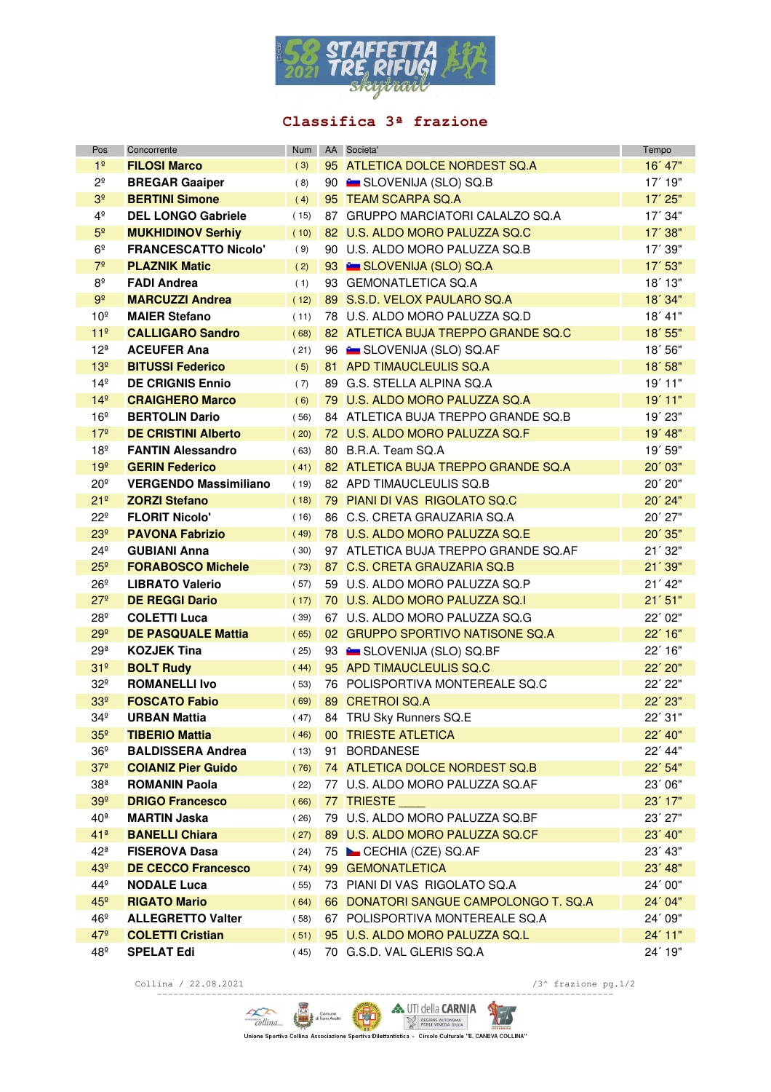

## **Classifica 3ª frazione**

| Pos                | Concorrente                  | Num  | AA Societa'                            | Tempo     |
|--------------------|------------------------------|------|----------------------------------------|-----------|
| 1 <sup>°</sup>     | <b>FILOSI Marco</b>          | (3)  | 95 ATLETICA DOLCE NORDEST SQ.A         | 16' 47"   |
| $2^{\circ}$        | <b>BREGAR Gaaiper</b>        | (8)  | 90 <b>Example SLOVENIJA (SLO) SQ.B</b> | $17'$ 19" |
| 3 <sup>°</sup>     | <b>BERTINI Simone</b>        | (4)  | 95 TEAM SCARPA SQ.A                    | 17' 25"   |
| $4^{\circ}$        | <b>DEL LONGO Gabriele</b>    | (15) | 87 GRUPPO MARCIATORI CALALZO SQ.A      | 17' 34"   |
| 5 <sup>o</sup>     | <b>MUKHIDINOV Serhiy</b>     | (10) | 82 U.S. ALDO MORO PALUZZA SQ.C         | $17'$ 38" |
| 6 <sup>°</sup>     | <b>FRANCESCATTO Nicolo'</b>  | (9)  | 90 U.S. ALDO MORO PALUZZA SQ.B         | 17' 39"   |
| 7 <sup>°</sup>     | <b>PLAZNIK Matic</b>         | (2)  | 93 SLOVENIJA (SLO) SQ.A                | 17' 53"   |
| $8^{\circ}$        | <b>FADI Andrea</b>           | (1)  | 93 GEMONATLETICA SQ.A                  | $18'$ 13" |
| $9^{\circ}$        | <b>MARCUZZI Andrea</b>       | (12) | 89 S.S.D. VELOX PAULARO SQ.A           | 18'34"    |
| 10 <sup>°</sup>    | <b>MAIER Stefano</b>         | (11) | 78 U.S. ALDO MORO PALUZZA SQ.D         | 18' 41"   |
| 11 <sup>°</sup>    | <b>CALLIGARO Sandro</b>      | (68) | 82 ATLETICA BUJA TREPPO GRANDE SQ.C    | $18'$ 55" |
| 12 <sup>a</sup>    | <b>ACEUFER Ana</b>           | (21) | 96 E SLOVENIJA (SLO) SQ.AF             | 18'56"    |
| 13 <sup>°</sup>    | <b>BITUSSI Federico</b>      | (5)  | 81 APD TIMAUCLEULIS SQ.A               | 18'58"    |
| $14^{\circ}$       | <b>DE CRIGNIS Ennio</b>      | (7)  | 89 G.S. STELLA ALPINA SQ.A             | 19'11"    |
| 14 <sup>°</sup>    | <b>CRAIGHERO Marco</b>       | (6)  | 79 U.S. ALDO MORO PALUZZA SQ.A         | 19'11"    |
| 16 <sup>°</sup>    | <b>BERTOLIN Dario</b>        | (56) | 84 ATLETICA BUJA TREPPO GRANDE SQ.B    | $19'$ 23" |
| 17 <sup>°</sup>    | <b>DE CRISTINI Alberto</b>   | (20) | 72 U.S. ALDO MORO PALUZZA SQ.F         | 19' 48"   |
| 18 <sup>°</sup>    | <b>FANTIN Alessandro</b>     | (63) | 80 B.R.A. Team SQ.A                    | 19' 59"   |
| 19 <sup>°</sup>    | <b>GERIN Federico</b>        | (41) | 82 ATLETICA BUJA TREPPO GRANDE SQ.A    | 20'03"    |
| $20^{\circ}$       | <b>VERGENDO Massimiliano</b> | (19) | 82 APD TIMAUCLEULIS SQ.B               | 20' 20"   |
| 21 <sup>°</sup>    | <b>ZORZI Stefano</b>         | (18) | 79 PIANI DI VAS RIGOLATO SQ.C          | 20' 24"   |
| $22^{\circ}$       | <b>FLORIT Nicolo'</b>        | (16) | 86 C.S. CRETA GRAUZARIA SQ.A           | $20'$ 27" |
| 23 <sup>°</sup>    | <b>PAVONA Fabrizio</b>       | (49) | 78 U.S. ALDO MORO PALUZZA SQ.E         | 20´ 35"   |
| $24^{\circ}$       | <b>GUBIANI Anna</b>          | (30) | 97 ATLETICA BUJA TREPPO GRANDE SQ.AF   | 21'32"    |
| 25 <sup>°</sup>    | <b>FORABOSCO Michele</b>     | (73) | 87 C.S. CRETA GRAUZARIA SQ.B           | 21'39"    |
| $26^{\circ}$       | <b>LIBRATO Valerio</b>       | (57) | 59 U.S. ALDO MORO PALUZZA SQ.P         | 21' 42"   |
| 27 <sup>°</sup>    | <b>DE REGGI Dario</b>        | (17) | 70 U.S. ALDO MORO PALUZZA SQ.I         | 21'51"    |
| $28^{\circ}$       | <b>COLETTI Luca</b>          | (39) | 67 U.S. ALDO MORO PALUZZA SQ.G         | 22' 02"   |
| 29 <sup>°</sup>    | <b>DE PASQUALE Mattia</b>    | (65) | 02 GRUPPO SPORTIVO NATISONE SQ.A       | $22'$ 16" |
| 29 <sup>a</sup>    | <b>KOZJEK Tina</b>           | (25) | 93 E SLOVENIJA (SLO) SQ.BF             | $22'$ 16" |
| 31 <sup>°</sup>    | <b>BOLT Rudy</b>             | (44) | 95 APD TIMAUCLEULIS SQ.C               | 22' 20"   |
| $32^{\circ}$       | <b>ROMANELLI Ivo</b>         | (53) | 76 POLISPORTIVA MONTEREALE SQ.C        | 22' 22"   |
| 33 <sup>°</sup>    | <b>FOSCATO Fabio</b>         | (69) | 89 CRETROI SQ.A                        | 22' 23"   |
| 34 <sup>°</sup>    | <b>URBAN Mattia</b>          | (47) | 84 TRU Sky Runners SQ.E                | 22' 31"   |
| 35 <sup>°</sup>    | <b>TIBERIO Mattia</b>        | (46) | 00 TRIESTE ATLETICA                    | 22' 40"   |
| 36º                | <b>BALDISSERA Andrea</b>     | (13) | 91 BORDANESE                           | $22'$ 44" |
| 37 <sup>°</sup>    | <b>COIANIZ Pier Guido</b>    | (76) | 74 ATLETICA DOLCE NORDEST SQ.B         | $22'$ 54" |
| 38 <sup>a</sup>    | <b>ROMANIN Paola</b>         | (22) | 77 U.S. ALDO MORO PALUZZA SQ.AF        | 23'06"    |
| 39 <sup>°</sup>    | <b>DRIGO Francesco</b>       | (66) | 77 TRIESTE                             | $23'$ 17" |
| 40 <sup>a</sup>    | <b>MARTIN Jaska</b>          | (26) | 79 U.S. ALDO MORO PALUZZA SQ.BF        | $23'$ 27" |
| $41^{\frac{a}{2}}$ | <b>BANELLI Chiara</b>        | (27) | 89 U.S. ALDO MORO PALUZZA SQ.CF        | $23'$ 40" |
| 42ª                | <b>FISEROVA Dasa</b>         | (24) | 75 CECHIA (CZE) SQ.AF                  | 23' 43"   |
| 43 <sup>°</sup>    | <b>DE CECCO Francesco</b>    | (74) | 99 GEMONATLETICA                       | $23'$ 48" |
| 44º                | <b>NODALE Luca</b>           | (55) | 73 PIANI DI VAS RIGOLATO SQ.A          | 24'00"    |
| 45 <sup>°</sup>    | <b>RIGATO Mario</b>          | (64) | 66 DONATORI SANGUE CAMPOLONGO T. SQ.A  | 24'04"    |
| 46°                | <b>ALLEGRETTO Valter</b>     | (58) | 67 POLISPORTIVA MONTEREALE SQ.A        | 24' 09"   |
| $47^{\circ}$       | <b>COLETTI Cristian</b>      | (51) | 95 U.S. ALDO MORO PALUZZA SQ.L         | $24'$ 11" |
| 48°                | <b>SPELAT Edi</b>            | (45) | 70 G.S.D. VAL GLERIS SQ.A              | 24' 19"   |

Collina / 22.08.2021  $/3^{\wedge}$  frazione pg.1/2